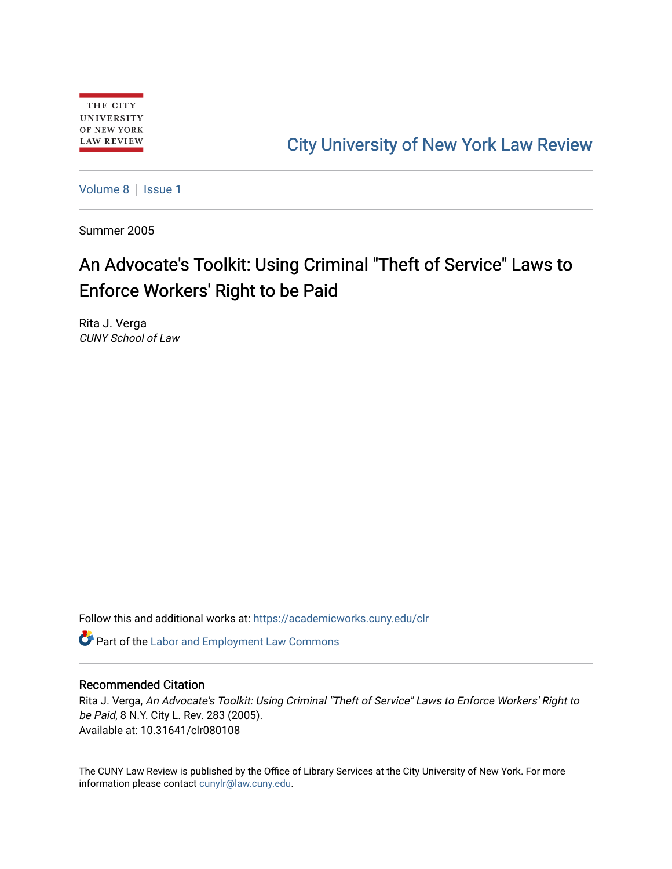# [City University of New York Law Review](https://academicworks.cuny.edu/clr)

[Volume 8](https://academicworks.cuny.edu/clr/vol8) | Issue 1

Summer 2005

# An Advocate's Toolkit: Using Criminal "Theft of Service" Laws to Enforce Workers' Right to be Paid

Rita J. Verga CUNY School of Law

Follow this and additional works at: [https://academicworks.cuny.edu/clr](https://academicworks.cuny.edu/clr?utm_source=academicworks.cuny.edu%2Fclr%2Fvol8%2Fiss1%2F9&utm_medium=PDF&utm_campaign=PDFCoverPages) 

Part of the [Labor and Employment Law Commons](http://network.bepress.com/hgg/discipline/909?utm_source=academicworks.cuny.edu%2Fclr%2Fvol8%2Fiss1%2F9&utm_medium=PDF&utm_campaign=PDFCoverPages)

#### Recommended Citation

Rita J. Verga, An Advocate's Toolkit: Using Criminal "Theft of Service" Laws to Enforce Workers' Right to be Paid, 8 N.Y. City L. Rev. 283 (2005). Available at: 10.31641/clr080108

The CUNY Law Review is published by the Office of Library Services at the City University of New York. For more information please contact [cunylr@law.cuny.edu](mailto:cunylr@law.cuny.edu).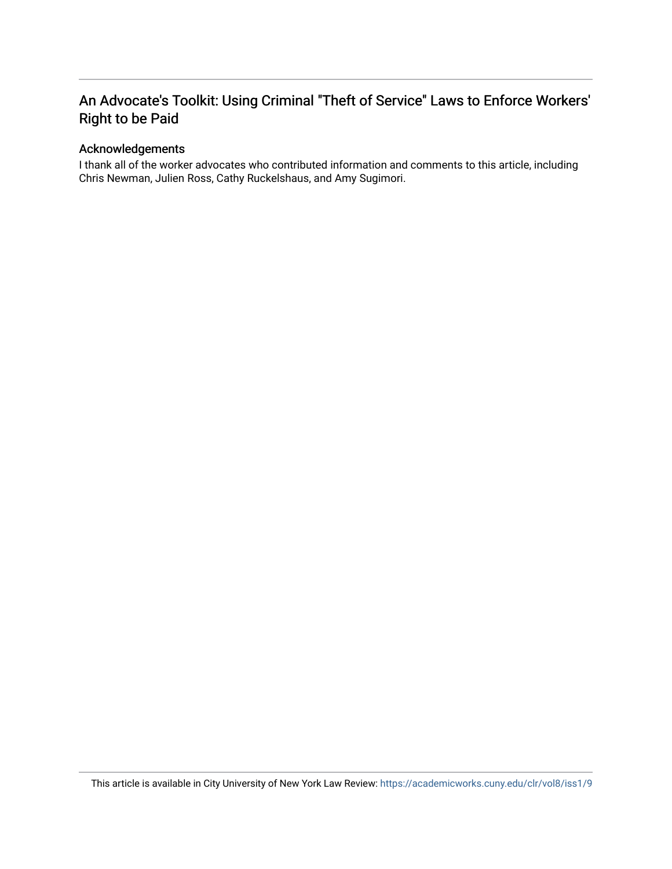## An Advocate's Toolkit: Using Criminal "Theft of Service" Laws to Enforce Workers' Right to be Paid

### Acknowledgements

I thank all of the worker advocates who contributed information and comments to this article, including Chris Newman, Julien Ross, Cathy Ruckelshaus, and Amy Sugimori.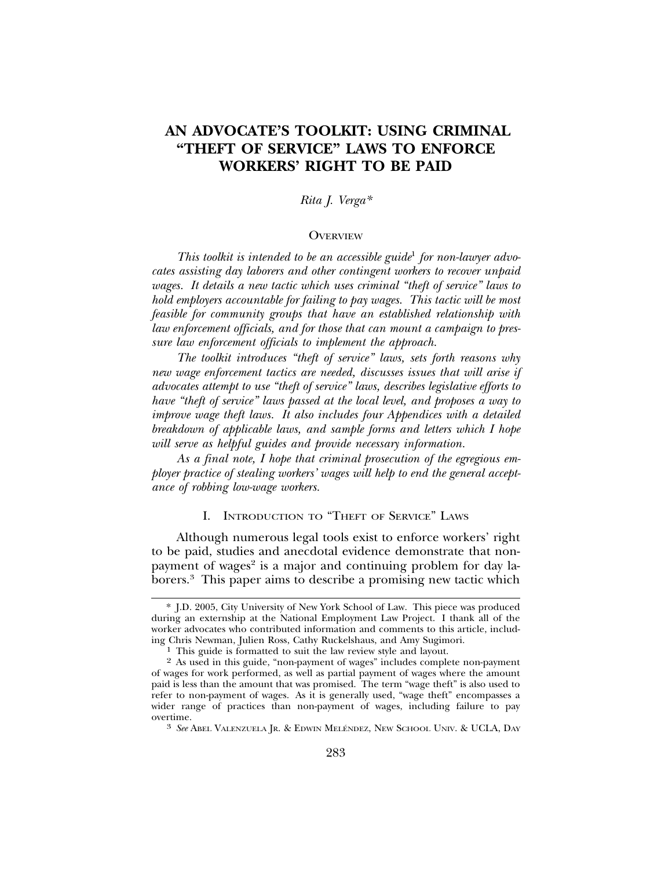## **AN ADVOCATE'S TOOLKIT: USING CRIMINAL "THEFT OF SERVICE" LAWS TO ENFORCE WORKERS' RIGHT TO BE PAID**

#### *Rita J. Verga\**

#### **OVERVIEW**

*This toolkit is intended to be an accessible guide*<sup>1</sup> *for non-lawyer advocates assisting day laborers and other contingent workers to recover unpaid wages. It details a new tactic which uses criminal "theft of service" laws to hold employers accountable for failing to pay wages. This tactic will be most feasible for community groups that have an established relationship with law enforcement officials, and for those that can mount a campaign to pressure law enforcement officials to implement the approach.*

*The toolkit introduces "theft of service" laws, sets forth reasons why new wage enforcement tactics are needed, discusses issues that will arise if advocates attempt to use "theft of service" laws, describes legislative efforts to have "theft of service" laws passed at the local level, and proposes a way to improve wage theft laws. It also includes four Appendices with a detailed breakdown of applicable laws, and sample forms and letters which I hope will serve as helpful guides and provide necessary information.*

*As a final note, I hope that criminal prosecution of the egregious employer practice of stealing workers' wages will help to end the general acceptance of robbing low-wage workers.*

#### I. INTRODUCTION TO "THEFT OF SERVICE" LAWS

Although numerous legal tools exist to enforce workers' right to be paid, studies and anecdotal evidence demonstrate that nonpayment of wages<sup>2</sup> is a major and continuing problem for day laborers.3 This paper aims to describe a promising new tactic which

<sup>\*</sup> J.D. 2005, City University of New York School of Law. This piece was produced during an externship at the National Employment Law Project. I thank all of the worker advocates who contributed information and comments to this article, including Chris Newman, Julien Ross, Cathy Ruckelshaus, and Amy Sugimori.

<sup>&</sup>lt;sup>1</sup> This guide is formatted to suit the law review style and layout.

<sup>2</sup> As used in this guide, "non-payment of wages" includes complete non-payment of wages for work performed, as well as partial payment of wages where the amount paid is less than the amount that was promised. The term "wage theft" is also used to refer to non-payment of wages. As it is generally used, "wage theft" encompasses a wider range of practices than non-payment of wages, including failure to pay overtime.<br><sup>3</sup> *See* Abel Valenzuela Jr. & Edwin Meléndez, New School Univ. & UCLA, Day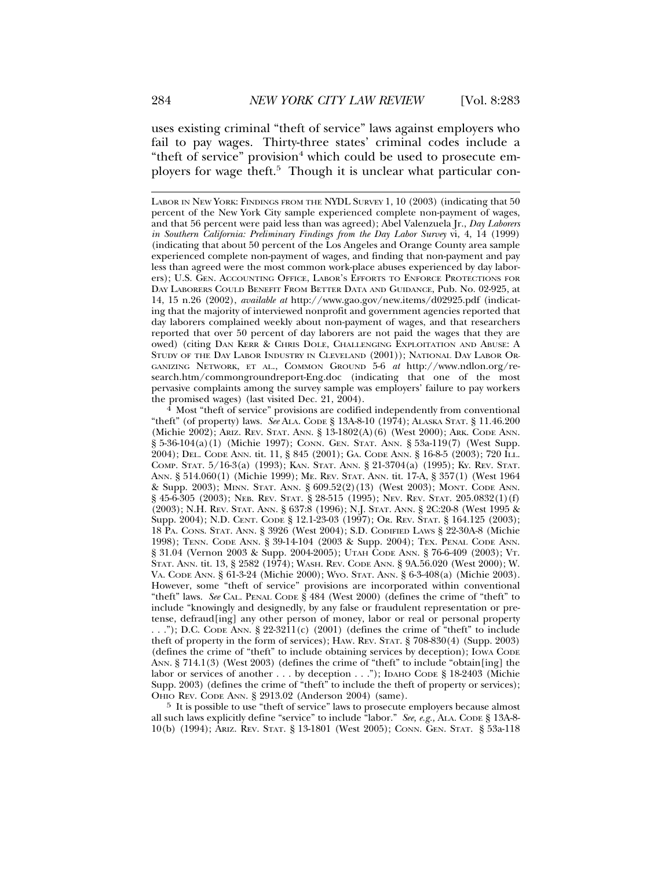uses existing criminal "theft of service" laws against employers who fail to pay wages. Thirty-three states' criminal codes include a "theft of service" provision<sup>4</sup> which could be used to prosecute employers for wage theft.<sup>5</sup> Though it is unclear what particular con-

LABOR IN NEW YORK: FINDINGS FROM THE NYDL SURVEY 1, 10 (2003) (indicating that 50 percent of the New York City sample experienced complete non-payment of wages, and that 56 percent were paid less than was agreed); Abel Valenzuela Jr., *Day Laborers in Southern California: Preliminary Findings from the Day Labor Survey* vi, 4, 14 (1999) (indicating that about 50 percent of the Los Angeles and Orange County area sample experienced complete non-payment of wages, and finding that non-payment and pay less than agreed were the most common work-place abuses experienced by day laborers); U.S. GEN. ACCOUNTING OFFICE, LABOR'S EFFORTS TO ENFORCE PROTECTIONS FOR DAY LABORERS COULD BENEFIT FROM BETTER DATA AND GUIDANCE, Pub. No. 02-925, at 14, 15 n.26 (2002), *available at* http://www.gao.gov/new.items/d02925.pdf (indicating that the majority of interviewed nonprofit and government agencies reported that day laborers complained weekly about non-payment of wages, and that researchers reported that over 50 percent of day laborers are not paid the wages that they are owed) (citing DAN KERR & CHRIS DOLE, CHALLENGING EXPLOITATION AND ABUSE: A STUDY OF THE DAY LABOR INDUSTRY IN CLEVELAND (2001)); NATIONAL DAY LABOR OR-GANIZING NETWORK, ET AL., COMMON GROUND 5-6 *at* http://www.ndlon.org/research.htm/commongroundreport-Eng.doc (indicating that one of the most pervasive complaints among the survey sample was employers' failure to pay workers the promised wages) (last visited Dec. 21, 2004).

 $4$  Most "theft of service" provisions are codified independently from conventional "theft" (of property) laws. *See* ALA. CODE § 13A-8-10 (1974); ALASKA STAT. § 11.46.200 (Michie 2002); ARIZ. REV. STAT. ANN. § 13-1802(A)(6) (West 2000); ARK. CODE ANN. § 5-36-104(a)(1) (Michie 1997); CONN. GEN. STAT. ANN. § 53a-119(7) (West Supp. 2004); DEL. CODE ANN. tit. 11, § 845 (2001); GA. CODE ANN. § 16-8-5 (2003); 720 ILL. COMP. STAT. 5/16-3(a) (1993); KAN. STAT. ANN. § 21-3704(a) (1995); KY. REV. STAT. ANN. § 514.060(1) (Michie 1999); ME. REV. STAT. ANN. tit. 17-A, § 357(1) (West 1964 & Supp. 2003); MINN. STAT. ANN. § 609.52(2)(13) (West 2003); MONT. CODE ANN. § 45-6-305 (2003); NEB. REV. STAT. § 28-515 (1995); NEV. REV. STAT. 205.0832(1)(f) (2003); N.H. REV. STAT. ANN. § 637:8 (1996); N.J. STAT. ANN. § 2C:20-8 (West 1995 & Supp. 2004); N.D. CENT. CODE § 12.1-23-03 (1997); OR. REV. STAT. § 164.125 (2003); 18 PA. CONS. STAT. ANN. § 3926 (West 2004); S.D. CODIFIED LAWS § 22-30A-8 (Michie 1998); TENN. CODE ANN. § 39-14-104 (2003 & Supp. 2004); TEX. PENAL CODE ANN. § 31.04 (Vernon 2003 & Supp. 2004-2005); UTAH CODE ANN. § 76-6-409 (2003); VT. STAT. ANN. tit. 13, § 2582 (1974); WASH. REV. CODE ANN. § 9A.56.020 (West 2000); W. VA. CODE ANN. § 61-3-24 (Michie 2000); WYO. STAT. ANN. § 6-3-408(a) (Michie 2003). However, some "theft of service" provisions are incorporated within conventional "theft" laws. *See* CAL. PENAL CODE § 484 (West 2000) (defines the crime of "theft" to include "knowingly and designedly, by any false or fraudulent representation or pretense, defraud[ing] any other person of money, labor or real or personal property  $\dots$ "); D.C. CODE ANN. § 22-3211(c) (2001) (defines the crime of "theft" to include theft of property in the form of services); HAW. REV. STAT. § 708-830(4) (Supp. 2003) (defines the crime of "theft" to include obtaining services by deception); IOWA CODE ANN. § 714.1(3) (West 2003) (defines the crime of "theft" to include "obtain[ing] the labor or services of another . . . by deception . . ."); IDAHO CODE § 18-2403 (Michie Supp. 2003) (defines the crime of "theft" to include the theft of property or services); OHIO REV. CODE ANN. § 2913.02 (Anderson 2004) (same).

5 It is possible to use "theft of service" laws to prosecute employers because almost all such laws explicitly define "service" to include "labor." *See, e.g.,* ALA. CODE § 13A-8- 10(b) (1994); ARIZ. REV. STAT. § 13-1801 (West 2005); CONN. GEN. STAT. § 53a-118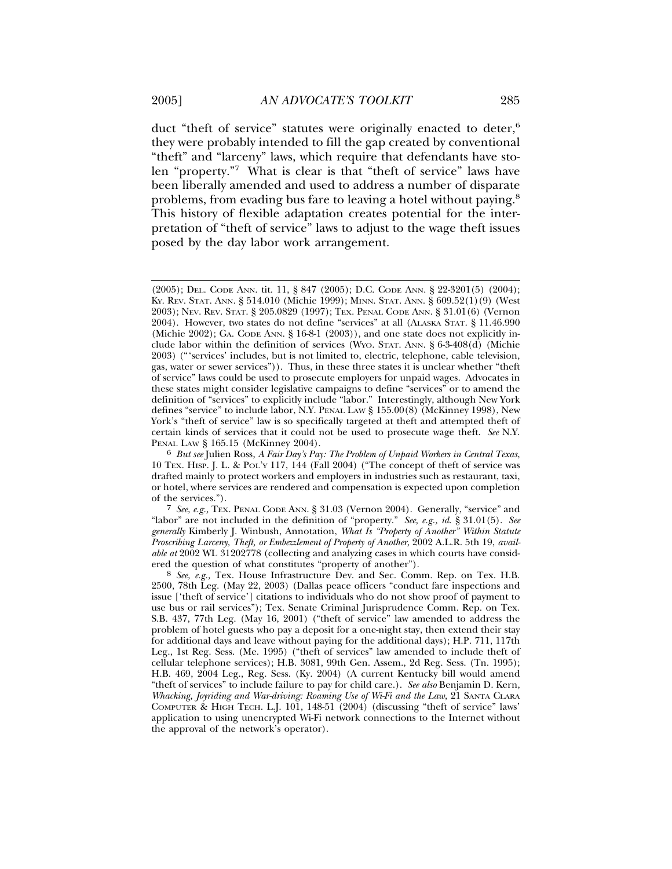duct "theft of service" statutes were originally enacted to deter,<sup>6</sup> they were probably intended to fill the gap created by conventional "theft" and "larceny" laws, which require that defendants have stolen "property."7 What is clear is that "theft of service" laws have been liberally amended and used to address a number of disparate problems, from evading bus fare to leaving a hotel without paying.8 This history of flexible adaptation creates potential for the interpretation of "theft of service" laws to adjust to the wage theft issues posed by the day labor work arrangement.

7 *See, e.g.,* TEX. PENAL CODE ANN. § 31.03 (Vernon 2004). Generally, "service" and "labor" are not included in the definition of "property." *See, e.g., id*. § 31.01(5). *See generally* Kimberly J. Winbush, Annotation, *What Is "Property of Another" Within Statute Proscribing Larceny, Theft, or Embezzlement of Property of Another*, 2002 A.L.R. 5th 19, *available at* 2002 WL 31202778 (collecting and analyzing cases in which courts have consid-

ered the question of what constitutes "property of another"). <sup>8</sup> *See, e.g.,* Tex. House Infrastructure Dev. and Sec. Comm. Rep. on Tex. H.B. 2500, 78th Leg. (May 22, 2003) (Dallas peace officers "conduct fare inspections and issue ['theft of service'] citations to individuals who do not show proof of payment to use bus or rail services"); Tex. Senate Criminal Jurisprudence Comm. Rep. on Tex. S.B. 437, 77th Leg. (May 16, 2001) ("theft of service" law amended to address the problem of hotel guests who pay a deposit for a one-night stay, then extend their stay for additional days and leave without paying for the additional days); H.P. 711, 117th Leg., 1st Reg. Sess. (Me. 1995) ("theft of services" law amended to include theft of cellular telephone services); H.B. 3081, 99th Gen. Assem., 2d Reg. Sess. (Tn. 1995); H.B. 469, 2004 Leg., Reg. Sess. (Ky. 2004) (A current Kentucky bill would amend "theft of services" to include failure to pay for child care.). *See also* Benjamin D. Kern, *Whacking, Joyriding and War-driving: Roaming Use of Wi-Fi and the Law*, 21 SANTA CLARA COMPUTER & HIGH TECH. L.J. 101, 148-51 (2004) (discussing "theft of service" laws' application to using unencrypted Wi-Fi network connections to the Internet without the approval of the network's operator).

<sup>(2005);</sup> DEL. CODE ANN. tit. 11, § 847 (2005); D.C. CODE ANN. § 22-3201(5) (2004); KY. REV. STAT. ANN. § 514.010 (Michie 1999); MINN. STAT. ANN. § 609.52(1)(9) (West 2003); NEV. REV. STAT. § 205.0829 (1997); TEX. PENAL CODE ANN. § 31.01(6) (Vernon 2004). However, two states do not define "services" at all (ALASKA STAT. § 11.46.990 (Michie  $2002$ ); GA. CODE ANN. § 16-8-1  $(2003)$ ), and one state does not explicitly include labor within the definition of services (WYO. STAT. ANN. § 6-3-408(d) (Michie 2003) ("'services' includes, but is not limited to, electric, telephone, cable television, gas, water or sewer services")). Thus, in these three states it is unclear whether "theft of service" laws could be used to prosecute employers for unpaid wages. Advocates in these states might consider legislative campaigns to define "services" or to amend the definition of "services" to explicitly include "labor." Interestingly, although New York defines "service" to include labor, N.Y. PENAL LAW § 155.00(8) (McKinney 1998), New York's "theft of service" law is so specifically targeted at theft and attempted theft of certain kinds of services that it could not be used to prosecute wage theft. *See* N.Y. PENAL LAW § 165.15 (McKinney 2004). <sup>6</sup> *But see* Julien Ross, *A Fair Day's Pay: The Problem of Unpaid Workers in Central Texas*,

<sup>10</sup> TEX. HISP. J. L. & POL'Y 117, 144 (Fall 2004) ("The concept of theft of service was drafted mainly to protect workers and employers in industries such as restaurant, taxi, or hotel, where services are rendered and compensation is expected upon completion of the services.").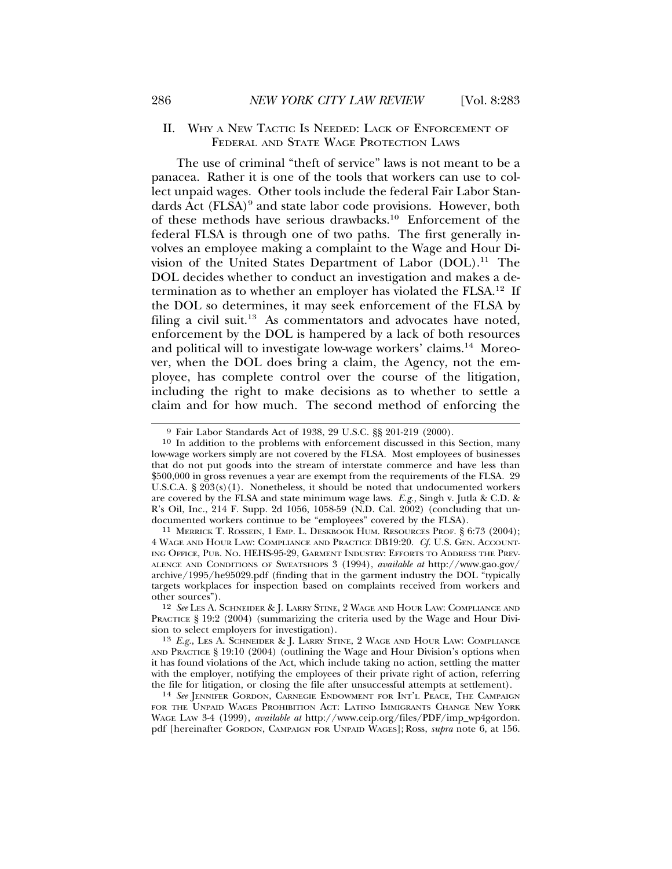The use of criminal "theft of service" laws is not meant to be a panacea. Rather it is one of the tools that workers can use to collect unpaid wages. Other tools include the federal Fair Labor Standards Act (FLSA)<sup>9</sup> and state labor code provisions. However, both of these methods have serious drawbacks.10 Enforcement of the federal FLSA is through one of two paths. The first generally involves an employee making a complaint to the Wage and Hour Division of the United States Department of Labor (DOL).11 The DOL decides whether to conduct an investigation and makes a determination as to whether an employer has violated the FLSA.12 If the DOL so determines, it may seek enforcement of the FLSA by filing a civil suit.<sup>13</sup> As commentators and advocates have noted, enforcement by the DOL is hampered by a lack of both resources and political will to investigate low-wage workers' claims.14 Moreover, when the DOL does bring a claim, the Agency, not the employee, has complete control over the course of the litigation, including the right to make decisions as to whether to settle a claim and for how much. The second method of enforcing the

12 *See* LES A. SCHNEIDER & J. LARRY STINE, 2 WAGE AND HOUR LAW: COMPLIANCE AND PRACTICE § 19:2 (2004) (summarizing the criteria used by the Wage and Hour Division to select employers for investigation).

13 *E.g.*, LES A. SCHNEIDER & J. LARRY STINE, 2 WAGE AND HOUR LAW: COMPLIANCE AND PRACTICE § 19:10 (2004) (outlining the Wage and Hour Division's options when it has found violations of the Act, which include taking no action, settling the matter with the employer, notifying the employees of their private right of action, referring the file for litigation, or closing the file after unsuccessful attempts at settlement).

<sup>14</sup> See JENNIFER GORDON, CARNEGIE ENDOWMENT FOR INT'L PEACE, THE CAMPAIGN FOR THE UNPAID WAGES PROHIBITION ACT: LATINO IMMIGRANTS CHANGE NEW YORK WAGE LAW 3-4 (1999), *available at* http://www.ceip.org/files/PDF/imp\_wp4gordon. pdf [hereinafter GORDON, CAMPAIGN FOR UNPAID WAGES]; Ross, *supra* note 6, at 156.

<sup>9</sup> Fair Labor Standards Act of 1938, 29 U.S.C. §§ 201-219 (2000).

<sup>10</sup> In addition to the problems with enforcement discussed in this Section, many low-wage workers simply are not covered by the FLSA. Most employees of businesses that do not put goods into the stream of interstate commerce and have less than \$500,000 in gross revenues a year are exempt from the requirements of the FLSA. 29 U.S.C.A.  $\S 203(s)(1)$ . Nonetheless, it should be noted that undocumented workers are covered by the FLSA and state minimum wage laws. *E.g.*, Singh v. Jutla & C.D. & R's Oil, Inc., 214 F. Supp. 2d 1056, 1058-59 (N.D. Cal. 2002) (concluding that un-

<sup>&</sup>lt;sup>11</sup> MERRICK T. ROSSEIN, 1 EMP. L. DESKBOOK HUM. RESOURCES PROF. § 6:73 (2004); 4 WAGE AND HOUR LAW: COMPLIANCE AND PRACTICE DB19:20. *Cf.* U.S. GEN. ACCOUNT-ING OFFICE, PUB. NO. HEHS-95-29, GARMENT INDUSTRY: EFFORTS TO ADDRESS THE PREV-ALENCE AND CONDITIONS OF SWEATSHOPS 3 (1994), *available at* http://www.gao.gov/ archive/1995/he95029.pdf (finding that in the garment industry the DOL "typically targets workplaces for inspection based on complaints received from workers and other sources").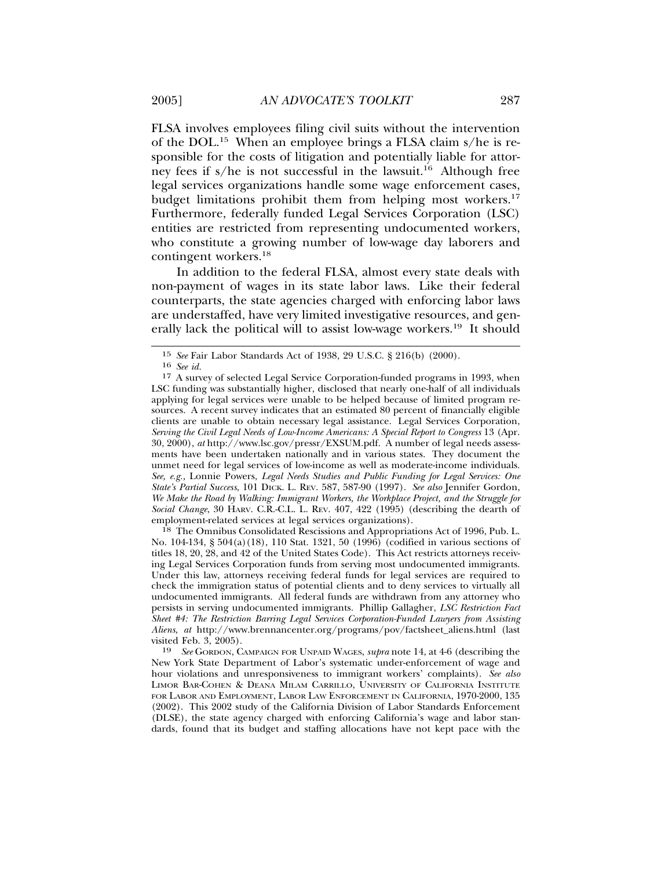FLSA involves employees filing civil suits without the intervention of the DOL.15 When an employee brings a FLSA claim s/he is responsible for the costs of litigation and potentially liable for attorney fees if  $s/he$  is not successful in the lawsuit.<sup>16</sup> Although free legal services organizations handle some wage enforcement cases, budget limitations prohibit them from helping most workers.<sup>17</sup> Furthermore, federally funded Legal Services Corporation (LSC) entities are restricted from representing undocumented workers, who constitute a growing number of low-wage day laborers and contingent workers.18

In addition to the federal FLSA, almost every state deals with non-payment of wages in its state labor laws. Like their federal counterparts, the state agencies charged with enforcing labor laws are understaffed, have very limited investigative resources, and generally lack the political will to assist low-wage workers.19 It should

18 The Omnibus Consolidated Rescissions and Appropriations Act of 1996, Pub. L. No. 104-134, § 504(a)(18), 110 Stat. 1321, 50 (1996) (codified in various sections of titles 18, 20, 28, and 42 of the United States Code). This Act restricts attorneys receiving Legal Services Corporation funds from serving most undocumented immigrants. Under this law, attorneys receiving federal funds for legal services are required to check the immigration status of potential clients and to deny services to virtually all undocumented immigrants. All federal funds are withdrawn from any attorney who persists in serving undocumented immigrants. Phillip Gallagher, *LSC Restriction Fact Sheet #4: The Restriction Barring Legal Services Corporation-Funded Lawyers from Assisting Aliens*, *at* http://www.brennancenter.org/programs/pov/factsheet\_aliens.html (last visited Feb. 3, 2005).

19 *See* GORDON, CAMPAIGN FOR UNPAID WAGES, *supra* note 14, at 4-6 (describing the New York State Department of Labor's systematic under-enforcement of wage and hour violations and unresponsiveness to immigrant workers' complaints). *See also* LIMOR BAR-COHEN & DEANA MILAM CARRILLO, UNIVERSITY OF CALIFORNIA INSTITUTE FOR LABOR AND EMPLOYMENT, LABOR LAW ENFORCEMENT IN CALIFORNIA, 1970-2000, 135 (2002). This 2002 study of the California Division of Labor Standards Enforcement (DLSE), the state agency charged with enforcing California's wage and labor standards, found that its budget and staffing allocations have not kept pace with the

<sup>15</sup> *See* Fair Labor Standards Act of 1938, 29 U.S.C. § 216(b) (2000).

<sup>16</sup> *See id.*

<sup>17</sup> A survey of selected Legal Service Corporation-funded programs in 1993, when LSC funding was substantially higher, disclosed that nearly one-half of all individuals applying for legal services were unable to be helped because of limited program resources. A recent survey indicates that an estimated 80 percent of financially eligible clients are unable to obtain necessary legal assistance. Legal Services Corporation, *Serving the Civil Legal Needs of Low-Income Americans: A Special Report to Congress* 13 (Apr. 30, 2000), *at* http://www.lsc.gov/pressr/EXSUM.pdf. A number of legal needs assessments have been undertaken nationally and in various states. They document the unmet need for legal services of low-income as well as moderate-income individuals. *See, e.g.,* Lonnie Powers, *Legal Needs Studies and Public Funding for Legal Services: One State's Partial Success*, 101 DICK. L. REV. 587, 587-90 (1997). *See also* Jennifer Gordon, *We Make the Road by Walking: Immigrant Workers, the Workplace Project, and the Struggle for Social Change*, 30 HARV. C.R.-C.L. L. REV. 407, 422 (1995) (describing the dearth of employment-related services at legal services organizations).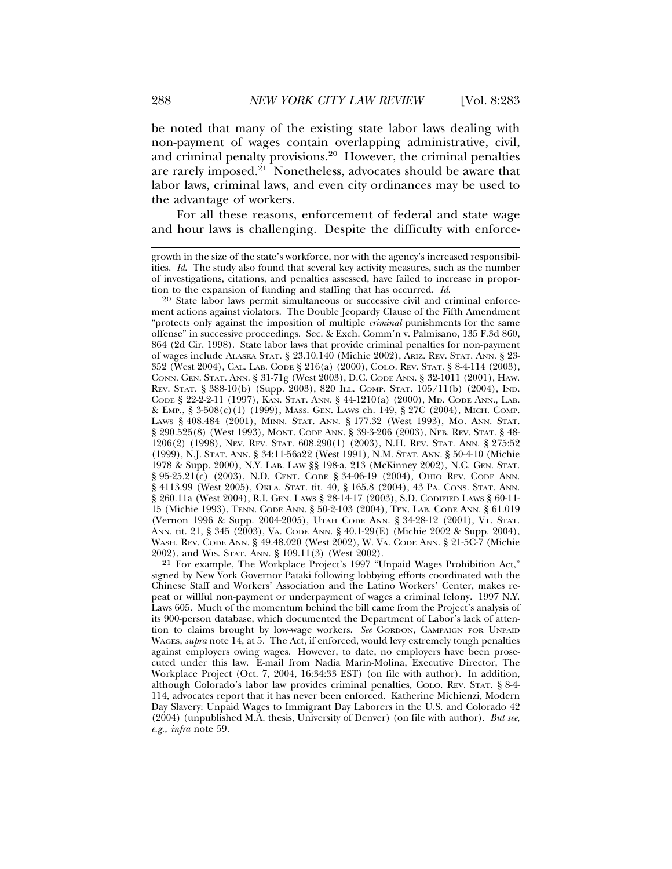be noted that many of the existing state labor laws dealing with non-payment of wages contain overlapping administrative, civil, and criminal penalty provisions.20 However, the criminal penalties are rarely imposed.<sup>21</sup> Nonetheless, advocates should be aware that labor laws, criminal laws, and even city ordinances may be used to the advantage of workers.

For all these reasons, enforcement of federal and state wage and hour laws is challenging. Despite the difficulty with enforce-

<sup>20</sup> State labor laws permit simultaneous or successive civil and criminal enforcement actions against violators. The Double Jeopardy Clause of the Fifth Amendment "protects only against the imposition of multiple *criminal* punishments for the same offense" in successive proceedings. Sec. & Exch. Comm'n v. Palmisano, 135 F.3d 860, 864 (2d Cir. 1998). State labor laws that provide criminal penalties for non-payment of wages include ALASKA STAT. § 23.10.140 (Michie 2002), ARIZ. REV. STAT. ANN. § 23- 352 (West 2004), CAL. LAB. CODE § 216(a) (2000), COLO. REV. STAT. § 8-4-114 (2003), CONN. GEN. STAT. ANN. § 31-71g (West 2003), D.C. CODE ANN. § 32-1011 (2001), HAW. REV. STAT. § 388-10(b) (Supp. 2003), 820 ILL. COMP. STAT. 105/11(b) (2004), IND. CODE § 22-2-2-11 (1997), KAN. STAT. ANN. § 44-1210(a) (2000), MD. CODE ANN., LAB. & EMP., § 3-508(c)(1) (1999), MASS. GEN. LAWS ch. 149, § 27C (2004), MICH. COMP. LAWS § 408.484 (2001), MINN. STAT. ANN. § 177.32 (West 1993), MO. ANN. STAT. § 290.525(8) (West 1993), MONT. CODE ANN. § 39-3-206 (2003), NEB. REV. STAT. § 48- 1206(2) (1998), NEV. REV. STAT. 608.290(1) (2003), N.H. REV. STAT. ANN. § 275:52 (1999), N.J. STAT. ANN. § 34:11-56a22 (West 1991), N.M. STAT. ANN. § 50-4-10 (Michie 1978 & Supp. 2000), N.Y. LAB. LAW §§ 198-a, 213 (McKinney 2002), N.C. GEN. STAT. § 95-25.21(c) (2003), N.D. CENT. CODE § 34-06-19 (2004), Оню REV. CODE ANN. § 4113.99 (West 2005), OKLA. STAT. tit. 40, § 165.8 (2004), 43 PA. CONS. STAT. ANN. § 260.11a (West 2004), R.I. GEN. LAWS § 28-14-17 (2003), S.D. CODIFIED LAWS § 60-11- 15 (Michie 1993), TENN. CODE ANN. § 50-2-103 (2004), TEX. LAB. CODE ANN. § 61.019 (Vernon 1996 & Supp. 2004-2005), UTAH CODE ANN. § 34-28-12 (2001), VT. STAT. ANN. tit. 21, § 345 (2003), VA. CODE ANN. § 40.1-29(E) (Michie 2002 & Supp. 2004), WASH. REV. CODE ANN. § 49.48.020 (West 2002), W. VA. CODE ANN. § 21-5C-7 (Michie 2002), and WIS. STAT. ANN. § 109.11(3) (West 2002).

21 For example, The Workplace Project's 1997 "Unpaid Wages Prohibition Act," signed by New York Governor Pataki following lobbying efforts coordinated with the Chinese Staff and Workers' Association and the Latino Workers' Center, makes repeat or willful non-payment or underpayment of wages a criminal felony. 1997 N.Y. Laws 605. Much of the momentum behind the bill came from the Project's analysis of its 900-person database, which documented the Department of Labor's lack of attention to claims brought by low-wage workers. *See* GORDON, CAMPAIGN FOR UNPAID WAGES, *supra* note 14, at 5. The Act, if enforced, would levy extremely tough penalties against employers owing wages. However, to date, no employers have been prosecuted under this law. E-mail from Nadia Marin-Molina, Executive Director, The Workplace Project (Oct. 7, 2004, 16:34:33 EST) (on file with author). In addition, although Colorado's labor law provides criminal penalties, COLO. REV. STAT. § 8-4- 114, advocates report that it has never been enforced. Katherine Michienzi, Modern Day Slavery: Unpaid Wages to Immigrant Day Laborers in the U.S. and Colorado 42 (2004) (unpublished M.A. thesis, University of Denver) (on file with author). *But see, e.g., infra* note 59.

growth in the size of the state's workforce, nor with the agency's increased responsibilities. *Id*. The study also found that several key activity measures, such as the number of investigations, citations, and penalties assessed, have failed to increase in proportion to the expansion of funding and staffing that has occurred.  $Id$ .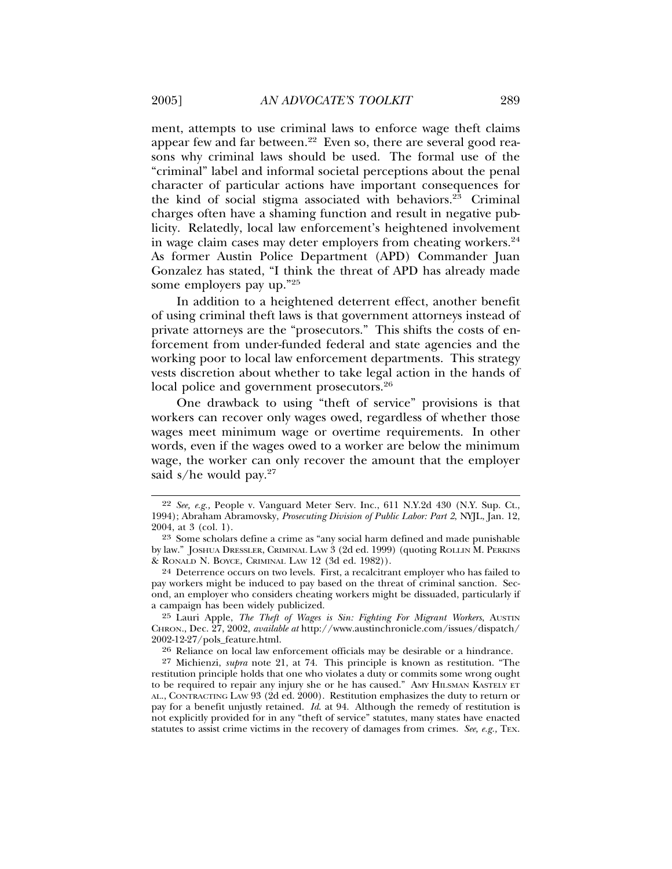ment, attempts to use criminal laws to enforce wage theft claims appear few and far between.<sup>22</sup> Even so, there are several good reasons why criminal laws should be used. The formal use of the "criminal" label and informal societal perceptions about the penal character of particular actions have important consequences for the kind of social stigma associated with behaviors. $2^{\overline{3}}$  Criminal charges often have a shaming function and result in negative publicity. Relatedly, local law enforcement's heightened involvement in wage claim cases may deter employers from cheating workers. $24$ As former Austin Police Department (APD) Commander Juan Gonzalez has stated, "I think the threat of APD has already made some employers pay up."25

In addition to a heightened deterrent effect, another benefit of using criminal theft laws is that government attorneys instead of private attorneys are the "prosecutors." This shifts the costs of enforcement from under-funded federal and state agencies and the working poor to local law enforcement departments. This strategy vests discretion about whether to take legal action in the hands of local police and government prosecutors.<sup>26</sup>

One drawback to using "theft of service" provisions is that workers can recover only wages owed, regardless of whether those wages meet minimum wage or overtime requirements. In other words, even if the wages owed to a worker are below the minimum wage, the worker can only recover the amount that the employer said s/he would pay. $27$ 

25 Lauri Apple, *The Theft of Wages is Sin: Fighting For Migrant Workers*, AUSTIN CHRON., Dec. 27, 2002, *available at* http://www.austinchronicle.com/issues/dispatch/ 2002-12-27/pols\_feature.html.

26 Reliance on local law enforcement officials may be desirable or a hindrance.

27 Michienzi, *supra* note 21, at 74. This principle is known as restitution. "The restitution principle holds that one who violates a duty or commits some wrong ought to be required to repair any injury she or he has caused." AMY HILSMAN KASTELY ET AL., CONTRACTING LAW 93 (2d ed. 2000). Restitution emphasizes the duty to return or pay for a benefit unjustly retained. *Id*. at 94. Although the remedy of restitution is not explicitly provided for in any "theft of service" statutes, many states have enacted statutes to assist crime victims in the recovery of damages from crimes. *See, e.g.,* TEX.

<sup>22</sup> *See, e.g.,* People v. Vanguard Meter Serv. Inc., 611 N.Y.2d 430 (N.Y. Sup. Ct., 1994); Abraham Abramovsky, *Prosecuting Division of Public Labor: Part 2*, NYJL, Jan. 12, 2004, at 3 (col. 1).

<sup>23</sup> Some scholars define a crime as "any social harm defined and made punishable by law." JOSHUA DRESSLER, CRIMINAL LAW 3 (2d ed. 1999) (quoting ROLLIN M. PERKINS & RONALD N. BOYCE, CRIMINAL LAW 12 (3d ed. 1982)).

<sup>24</sup> Deterrence occurs on two levels. First, a recalcitrant employer who has failed to pay workers might be induced to pay based on the threat of criminal sanction. Second, an employer who considers cheating workers might be dissuaded, particularly if a campaign has been widely publicized.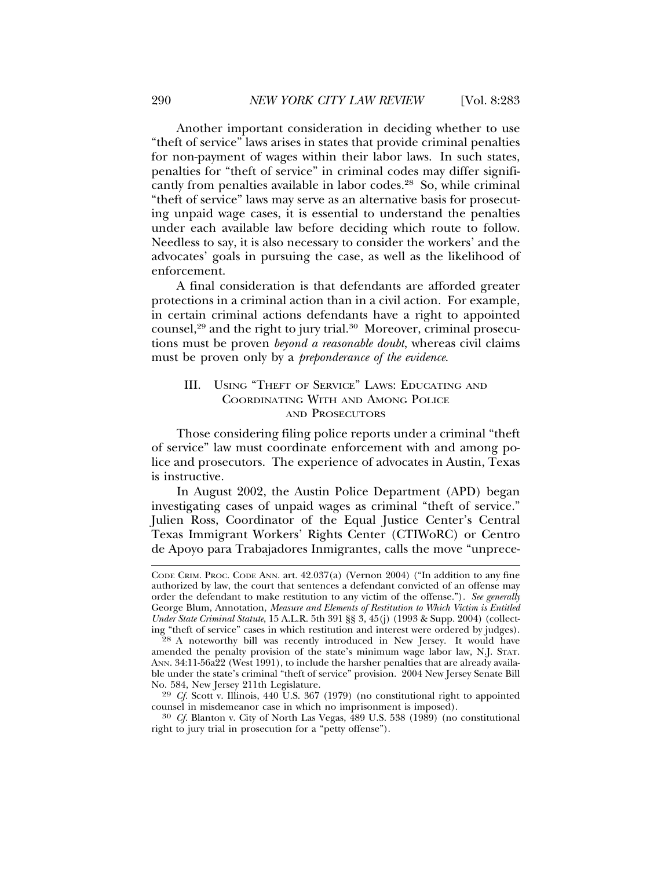Another important consideration in deciding whether to use "theft of service" laws arises in states that provide criminal penalties for non-payment of wages within their labor laws. In such states, penalties for "theft of service" in criminal codes may differ significantly from penalties available in labor codes.<sup>28</sup> So, while criminal "theft of service" laws may serve as an alternative basis for prosecuting unpaid wage cases, it is essential to understand the penalties under each available law before deciding which route to follow. Needless to say, it is also necessary to consider the workers' and the advocates' goals in pursuing the case, as well as the likelihood of enforcement.

A final consideration is that defendants are afforded greater protections in a criminal action than in a civil action. For example, in certain criminal actions defendants have a right to appointed counsel,<sup>29</sup> and the right to jury trial.<sup>30</sup> Moreover, criminal prosecutions must be proven *beyond a reasonable doubt*, whereas civil claims must be proven only by a *preponderance of the evidence*.

#### III. USING "THEFT OF SERVICE" LAWS: EDUCATING AND COORDINATING WITH AND AMONG POLICE AND PROSECUTORS

Those considering filing police reports under a criminal "theft of service" law must coordinate enforcement with and among police and prosecutors. The experience of advocates in Austin, Texas is instructive.

In August 2002, the Austin Police Department (APD) began investigating cases of unpaid wages as criminal "theft of service." Julien Ross, Coordinator of the Equal Justice Center's Central Texas Immigrant Workers' Rights Center (CTIWoRC) or Centro de Apoyo para Trabajadores Inmigrantes, calls the move "unprece-

CODE CRIM. PROC. CODE ANN. art. 42.037(a) (Vernon 2004) ("In addition to any fine authorized by law, the court that sentences a defendant convicted of an offense may order the defendant to make restitution to any victim of the offense.")*. See generally* George Blum, Annotation, *Measure and Elements of Restitution to Which Victim is Entitled Under State Criminal Statute*, 15 A.L.R. 5th 391 §§ 3, 45(j) (1993 & Supp. 2004) (collecting "theft of service" cases in which restitution and interest were ordered by judges).

<sup>28</sup> A noteworthy bill was recently introduced in New Jersey. It would have amended the penalty provision of the state's minimum wage labor law, N.J. STAT. ANN. 34:11-56a22 (West 1991), to include the harsher penalties that are already available under the state's criminal "theft of service" provision. 2004 New Jersey Senate Bill No. 584, New Jersey 211th Legislature.

<sup>&</sup>lt;sup>29</sup> *Cf.* Scott v. Illinois, 440 U.S. 367 (1979) (no constitutional right to appointed counsel in misdemeanor case in which no imprisonment is imposed).

<sup>&</sup>lt;sup>30</sup> *Cf.* Blanton v. City of North Las Vegas, 489 U.S. 538 (1989) (no constitutional right to jury trial in prosecution for a "petty offense").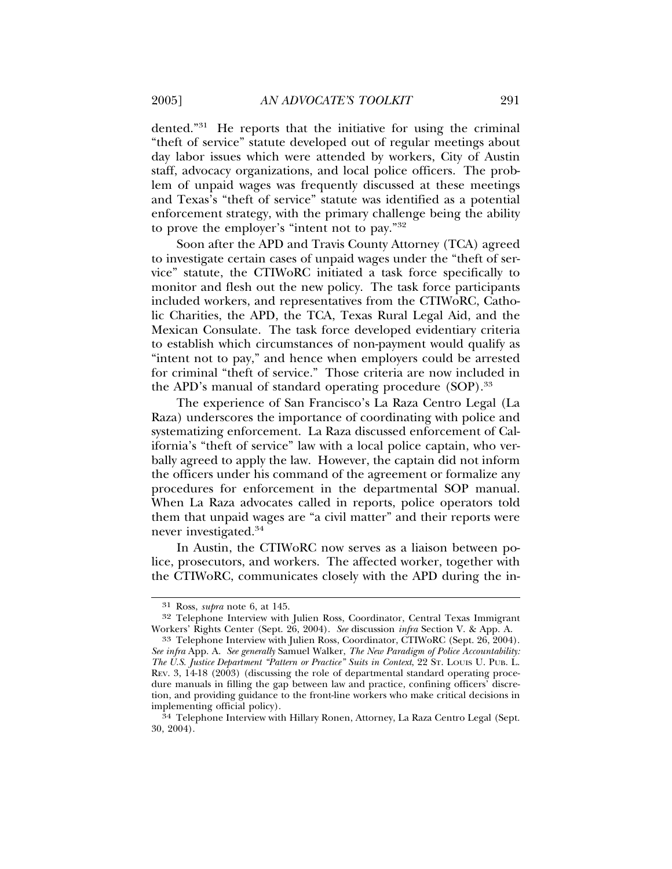dented."31 He reports that the initiative for using the criminal "theft of service" statute developed out of regular meetings about day labor issues which were attended by workers, City of Austin staff, advocacy organizations, and local police officers. The problem of unpaid wages was frequently discussed at these meetings and Texas's "theft of service" statute was identified as a potential enforcement strategy, with the primary challenge being the ability to prove the employer's "intent not to pay."32

Soon after the APD and Travis County Attorney (TCA) agreed to investigate certain cases of unpaid wages under the "theft of service" statute, the CTIWoRC initiated a task force specifically to monitor and flesh out the new policy. The task force participants included workers, and representatives from the CTIWoRC, Catholic Charities, the APD, the TCA, Texas Rural Legal Aid, and the Mexican Consulate. The task force developed evidentiary criteria to establish which circumstances of non-payment would qualify as "intent not to pay," and hence when employers could be arrested for criminal "theft of service." Those criteria are now included in the APD's manual of standard operating procedure (SOP).<sup>33</sup>

The experience of San Francisco's La Raza Centro Legal (La Raza) underscores the importance of coordinating with police and systematizing enforcement. La Raza discussed enforcement of California's "theft of service" law with a local police captain, who verbally agreed to apply the law. However, the captain did not inform the officers under his command of the agreement or formalize any procedures for enforcement in the departmental SOP manual. When La Raza advocates called in reports, police operators told them that unpaid wages are "a civil matter" and their reports were never investigated.34

In Austin, the CTIWoRC now serves as a liaison between police, prosecutors, and workers. The affected worker, together with the CTIWoRC, communicates closely with the APD during the in-

<sup>31</sup> Ross, *supra* note 6, at 145.

<sup>32</sup> Telephone Interview with Julien Ross, Coordinator, Central Texas Immigrant Workers' Rights Center (Sept. 26, 2004). *See* discussion *infra* Section V. & App. A.

<sup>33</sup> Telephone Interview with Julien Ross, Coordinator, CTIWoRC (Sept. 26, 2004). *See infra* App. A. *See generally* Samuel Walker, *The New Paradigm of Police Accountability: The U.S. Justice Department "Pattern or Practice" Suits in Context*, 22 ST. LOUIS U. PUB. L. REV. 3, 14-18 (2003) (discussing the role of departmental standard operating procedure manuals in filling the gap between law and practice, confining officers' discretion, and providing guidance to the front-line workers who make critical decisions in implementing official policy).

<sup>&</sup>lt;sup>34</sup> Telephone Interview with Hillary Ronen, Attorney, La Raza Centro Legal (Sept. 30, 2004).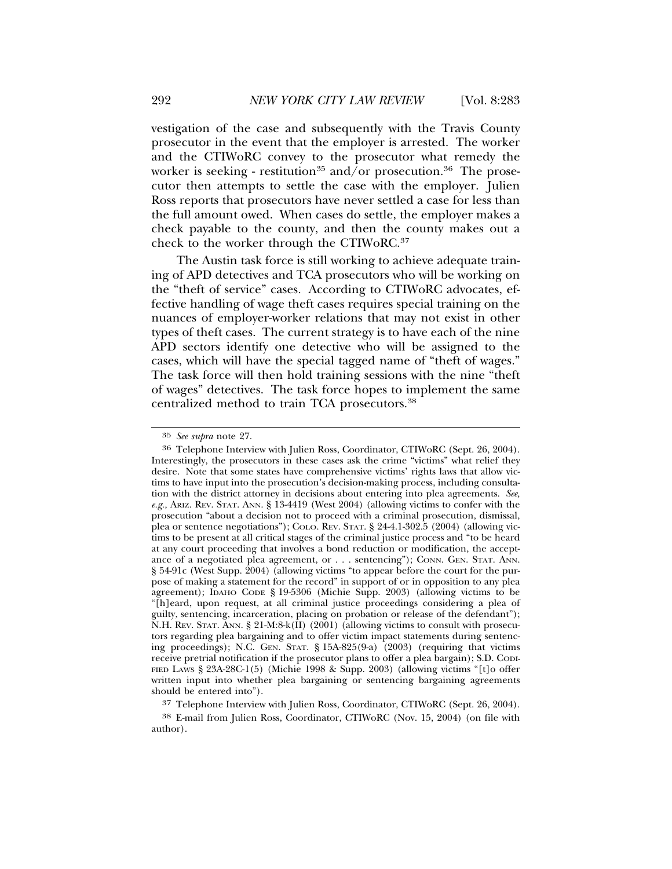vestigation of the case and subsequently with the Travis County prosecutor in the event that the employer is arrested. The worker and the CTIWoRC convey to the prosecutor what remedy the worker is seeking - restitution<sup>35</sup> and/or prosecution.<sup>36</sup> The prosecutor then attempts to settle the case with the employer. Julien Ross reports that prosecutors have never settled a case for less than the full amount owed. When cases do settle, the employer makes a check payable to the county, and then the county makes out a check to the worker through the CTIWoRC.37

The Austin task force is still working to achieve adequate training of APD detectives and TCA prosecutors who will be working on the "theft of service" cases. According to CTIWoRC advocates, effective handling of wage theft cases requires special training on the nuances of employer-worker relations that may not exist in other types of theft cases. The current strategy is to have each of the nine APD sectors identify one detective who will be assigned to the cases, which will have the special tagged name of "theft of wages." The task force will then hold training sessions with the nine "theft of wages" detectives. The task force hopes to implement the same centralized method to train TCA prosecutors.38

37 Telephone Interview with Julien Ross, Coordinator, CTIWoRC (Sept. 26, 2004).

38 E-mail from Julien Ross, Coordinator, CTIWoRC (Nov. 15, 2004) (on file with author).

<sup>35</sup> *See supra* note 27.

<sup>36</sup> Telephone Interview with Julien Ross, Coordinator, CTIWoRC (Sept. 26, 2004). Interestingly, the prosecutors in these cases ask the crime "victims" what relief they desire. Note that some states have comprehensive victims' rights laws that allow victims to have input into the prosecution's decision-making process, including consultation with the district attorney in decisions about entering into plea agreements. *See, e.g.,* ARIZ. REV. STAT. ANN. § 13-4419 (West 2004) (allowing victims to confer with the prosecution "about a decision not to proceed with a criminal prosecution, dismissal, plea or sentence negotiations"); COLO. REV. STAT. § 24-4.1-302.5 (2004) (allowing victims to be present at all critical stages of the criminal justice process and "to be heard at any court proceeding that involves a bond reduction or modification, the acceptance of a negotiated plea agreement, or . . . sentencing"); CONN. GEN. STAT. ANN. § 54-91c (West Supp. 2004) (allowing victims "to appear before the court for the purpose of making a statement for the record" in support of or in opposition to any plea agreement); IDAHO CODE § 19-5306 (Michie Supp. 2003) (allowing victims to be "[h]eard, upon request, at all criminal justice proceedings considering a plea of guilty, sentencing, incarceration, placing on probation or release of the defendant"); N.H. REV. STAT. ANN. § 21-M:8-k(II) (2001) (allowing victims to consult with prosecutors regarding plea bargaining and to offer victim impact statements during sentencing proceedings); N.C. GEN. STAT. § 15A-825(9-a) (2003) (requiring that victims receive pretrial notification if the prosecutor plans to offer a plea bargain); S.D. CODI-FIED LAWS § 23A-28C-1(5) (Michie 1998 & Supp. 2003) (allowing victims "[t]o offer written input into whether plea bargaining or sentencing bargaining agreements should be entered into").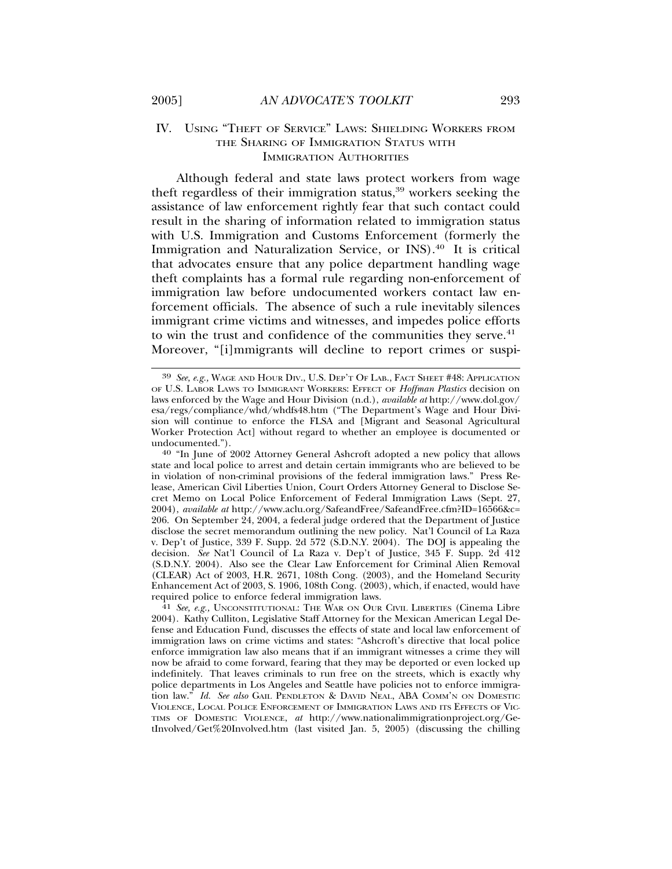#### IV. USING "THEFT OF SERVICE" LAWS: SHIELDING WORKERS FROM THE SHARING OF IMMIGRATION STATUS WITH IMMIGRATION AUTHORITIES

Although federal and state laws protect workers from wage theft regardless of their immigration status,<sup>39</sup> workers seeking the assistance of law enforcement rightly fear that such contact could result in the sharing of information related to immigration status with U.S. Immigration and Customs Enforcement (formerly the Immigration and Naturalization Service, or INS).40 It is critical that advocates ensure that any police department handling wage theft complaints has a formal rule regarding non-enforcement of immigration law before undocumented workers contact law enforcement officials. The absence of such a rule inevitably silences immigrant crime victims and witnesses, and impedes police efforts to win the trust and confidence of the communities they serve.<sup>41</sup> Moreover, "[i]mmigrants will decline to report crimes or suspi-

<sup>39</sup> *See, e.g.,* WAGE AND HOUR DIV., U.S. DEP'T OF LAB., FACT SHEET #48: APPLICATION OF U.S. LABOR LAWS TO IMMIGRANT WORKERS: EFFECT OF *Hoffman Plastics* decision on laws enforced by the Wage and Hour Division (n.d.), *available at* http://www.dol.gov/ esa/regs/compliance/whd/whdfs48.htm ("The Department's Wage and Hour Division will continue to enforce the FLSA and [Migrant and Seasonal Agricultural Worker Protection Act] without regard to whether an employee is documented or undocumented."). <sup>40</sup> "In June of 2002 Attorney General Ashcroft adopted a new policy that allows

state and local police to arrest and detain certain immigrants who are believed to be in violation of non-criminal provisions of the federal immigration laws." Press Release, American Civil Liberties Union, Court Orders Attorney General to Disclose Secret Memo on Local Police Enforcement of Federal Immigration Laws (Sept. 27, 2004), *available at* http://www.aclu.org/SafeandFree/SafeandFree.cfm?ID=16566&c= 206. On September 24, 2004, a federal judge ordered that the Department of Justice disclose the secret memorandum outlining the new policy. Nat'l Council of La Raza v. Dep't of Justice, 339 F. Supp. 2d 572 (S.D.N.Y. 2004). The DOJ is appealing the decision. *See* Nat'l Council of La Raza v. Dep't of Justice, 345 F. Supp. 2d 412 (S.D.N.Y. 2004). Also see the Clear Law Enforcement for Criminal Alien Removal (CLEAR) Act of 2003, H.R. 2671, 108th Cong. (2003), and the Homeland Security Enhancement Act of 2003, S. 1906, 108th Cong. (2003), which, if enacted, would have

required police to enforce federal immigration laws. <sup>41</sup> *See, e.g.,* UNCONSTITUTIONAL: THE WAR ON OUR CIVIL LIBERTIES (Cinema Libre 2004). Kathy Culliton, Legislative Staff Attorney for the Mexican American Legal Defense and Education Fund, discusses the effects of state and local law enforcement of immigration laws on crime victims and states: "Ashcroft's directive that local police enforce immigration law also means that if an immigrant witnesses a crime they will now be afraid to come forward, fearing that they may be deported or even locked up indefinitely. That leaves criminals to run free on the streets, which is exactly why police departments in Los Angeles and Seattle have policies not to enforce immigration law." *Id. See also* GAIL PENDLETON & DAVID NEAL, ABA COMM'N ON DOMESTIC VIOLENCE, LOCAL POLICE ENFORCEMENT OF IMMIGRATION LAWS AND ITS EFFECTS OF VIC-TIMS OF DOMESTIC VIOLENCE, *at* http://www.nationalimmigrationproject.org/GetInvolved/Get%20Involved.htm (last visited Jan. 5, 2005) (discussing the chilling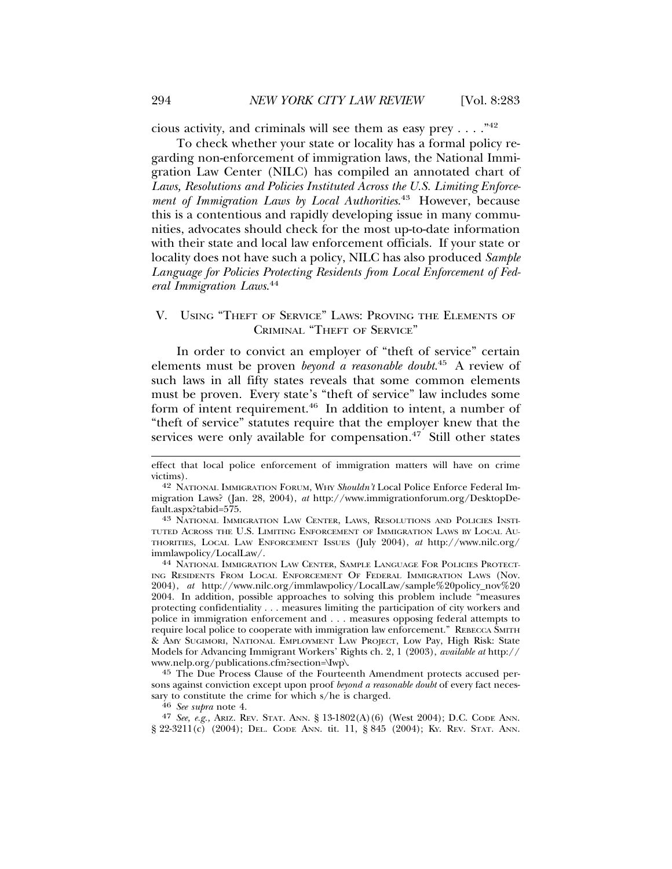cious activity, and criminals will see them as easy prey . . . ."42

To check whether your state or locality has a formal policy regarding non-enforcement of immigration laws, the National Immigration Law Center (NILC) has compiled an annotated chart of *Laws, Resolutions and Policies Instituted Across the U.S. Limiting Enforcement of Immigration Laws by Local Authorities*. 43 However, because this is a contentious and rapidly developing issue in many communities, advocates should check for the most up-to-date information with their state and local law enforcement officials. If your state or locality does not have such a policy, NILC has also produced *Sample Language for Policies Protecting Residents from Local Enforcement of Federal Immigration Laws*. 44

#### V. USING "THEFT OF SERVICE" LAWS: PROVING THE ELEMENTS OF CRIMINAL "THEFT OF SERVICE"

In order to convict an employer of "theft of service" certain elements must be proven *beyond a reasonable doubt*. 45 A review of such laws in all fifty states reveals that some common elements must be proven. Every state's "theft of service" law includes some form of intent requirement.46 In addition to intent, a number of "theft of service" statutes require that the employer knew that the services were only available for compensation.<sup>47</sup> Still other states

TUTED ACROSS THE U.S. LIMITING ENFORCEMENT OF IMMIGRATION LAWS BY LOCAL AU-THORITIES, LOCAL LAW ENFORCEMENT ISSUES (July 2004), *at* http://www.nilc.org/

<sup>44</sup> NATIONAL IMMIGRATION LAW CENTER, SAMPLE LANGUAGE FOR POLICIES PROTECT-ING RESIDENTS FROM LOCAL ENFORCEMENT OF FEDERAL IMMIGRATION LAWS (Nov. 2004), *at* http://www.nilc.org/immlawpolicy/LocalLaw/sample%20policy\_nov%20 2004. In addition, possible approaches to solving this problem include "measures protecting confidentiality . . . measures limiting the participation of city workers and police in immigration enforcement and . . . measures opposing federal attempts to require local police to cooperate with immigration law enforcement." REBECCA SMITH & AMY SUGIMORI, NATIONAL EMPLOYMENT LAW PROJECT, Low Pay, High Risk: State Models for Advancing Immigrant Workers' Rights ch. 2, 1 (2003), *available at* http:// www.nelp.org/publications.cfm?section=\Iwp\.

45 The Due Process Clause of the Fourteenth Amendment protects accused persons against conviction except upon proof *beyond a reasonable doubt* of every fact necessary to constitute the crime for which s/he is charged. <sup>46</sup> *See supra* note 4.

47 *See, e.g.,* ARIZ. REV. STAT. ANN. § 13-1802(A)(6) (West 2004); D.C. CODE ANN. § 22-3211(c) (2004); DEL. CODE ANN. tit. 11, § 845 (2004); KY. REV. STAT. ANN.

effect that local police enforcement of immigration matters will have on crime victims).

<sup>42</sup> NATIONAL IMMIGRATION FORUM, WHY *Shouldn't* Local Police Enforce Federal Immigration Laws? (Jan. 28, 2004), *at* http://www.immigrationforum.org/DesktopDefault.aspx?tabid=575. <sup>43</sup> NATIONAL IMMIGRATION LAW CENTER, LAWS, RESOLUTIONS AND POLICIES INSTI-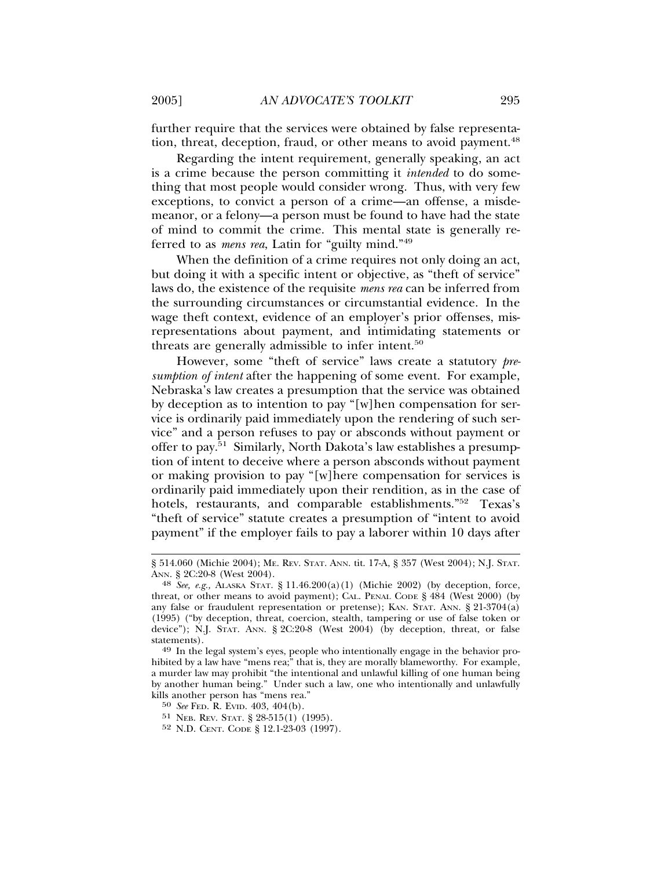further require that the services were obtained by false representation, threat, deception, fraud, or other means to avoid payment.<sup>48</sup>

Regarding the intent requirement, generally speaking, an act is a crime because the person committing it *intended* to do something that most people would consider wrong. Thus, with very few exceptions, to convict a person of a crime—an offense, a misdemeanor, or a felony—a person must be found to have had the state of mind to commit the crime. This mental state is generally referred to as *mens rea*, Latin for "guilty mind."49

When the definition of a crime requires not only doing an act, but doing it with a specific intent or objective, as "theft of service" laws do, the existence of the requisite *mens rea* can be inferred from the surrounding circumstances or circumstantial evidence. In the wage theft context, evidence of an employer's prior offenses, misrepresentations about payment, and intimidating statements or threats are generally admissible to infer intent.50

However, some "theft of service" laws create a statutory *presumption of intent* after the happening of some event. For example, Nebraska's law creates a presumption that the service was obtained by deception as to intention to pay "[w]hen compensation for service is ordinarily paid immediately upon the rendering of such service" and a person refuses to pay or absconds without payment or offer to pay.51 Similarly, North Dakota's law establishes a presumption of intent to deceive where a person absconds without payment or making provision to pay "[w]here compensation for services is ordinarily paid immediately upon their rendition, as in the case of hotels, restaurants, and comparable establishments."<sup>52</sup> Texas's "theft of service" statute creates a presumption of "intent to avoid payment" if the employer fails to pay a laborer within 10 days after

<sup>§ 514.060 (</sup>Michie 2004); ME. REV. STAT. ANN. tit. 17-A, § 357 (West 2004); N.J. STAT. ANN. § 2C:20-8 (West 2004).

<sup>&</sup>lt;sup>48</sup> *See, e.g.,* ALASKA STAT. § 11.46.200(a)(1) (Michie 2002) (by deception, force, threat, or other means to avoid payment); CAL. PENAL CODE § 484 (West 2000) (by any false or fraudulent representation or pretense); KAN. STAT. ANN. § 21-3704(a) (1995) ("by deception, threat, coercion, stealth, tampering or use of false token or device"); N.J. STAT. ANN. § 2C:20-8 (West 2004) (by deception, threat, or false

statements).<br><sup>49</sup> In the legal system's eyes, people who intentionally engage in the behavior prohibited by a law have "mens rea;" that is, they are morally blameworthy. For example, a murder law may prohibit "the intentional and unlawful killing of one human being by another human being." Under such a law, one who intentionally and unlawfully kills another person has "mens rea."

<sup>50</sup> *See* FED. R. EVID. 403, 404(b).

<sup>51</sup> NEB. REV. STAT. § 28-515(1) (1995).

<sup>52</sup> N.D. CENT. CODE § 12.1-23-03 (1997).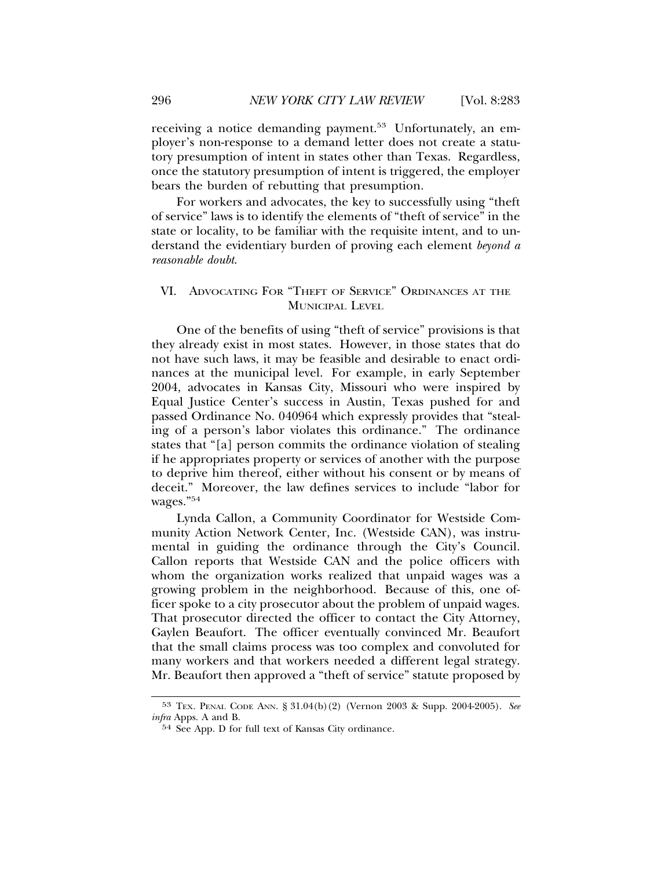receiving a notice demanding payment.<sup>53</sup> Unfortunately, an employer's non-response to a demand letter does not create a statutory presumption of intent in states other than Texas. Regardless, once the statutory presumption of intent is triggered, the employer bears the burden of rebutting that presumption.

For workers and advocates, the key to successfully using "theft of service" laws is to identify the elements of "theft of service" in the state or locality, to be familiar with the requisite intent, and to understand the evidentiary burden of proving each element *beyond a reasonable doubt*.

#### VI. ADVOCATING FOR "THEFT OF SERVICE" ORDINANCES AT THE MUNICIPAL LEVEL

One of the benefits of using "theft of service" provisions is that they already exist in most states. However, in those states that do not have such laws, it may be feasible and desirable to enact ordinances at the municipal level. For example, in early September 2004, advocates in Kansas City, Missouri who were inspired by Equal Justice Center's success in Austin, Texas pushed for and passed Ordinance No. 040964 which expressly provides that "stealing of a person's labor violates this ordinance." The ordinance states that "[a] person commits the ordinance violation of stealing if he appropriates property or services of another with the purpose to deprive him thereof, either without his consent or by means of deceit." Moreover, the law defines services to include "labor for wages."54

Lynda Callon, a Community Coordinator for Westside Community Action Network Center, Inc. (Westside CAN), was instrumental in guiding the ordinance through the City's Council. Callon reports that Westside CAN and the police officers with whom the organization works realized that unpaid wages was a growing problem in the neighborhood. Because of this, one officer spoke to a city prosecutor about the problem of unpaid wages. That prosecutor directed the officer to contact the City Attorney, Gaylen Beaufort. The officer eventually convinced Mr. Beaufort that the small claims process was too complex and convoluted for many workers and that workers needed a different legal strategy. Mr. Beaufort then approved a "theft of service" statute proposed by

<sup>53</sup> TEX. PENAL CODE ANN. § 31.04(b)(2) (Vernon 2003 & Supp. 2004-2005). *See infra* Apps. A and B.

<sup>54</sup> See App. D for full text of Kansas City ordinance.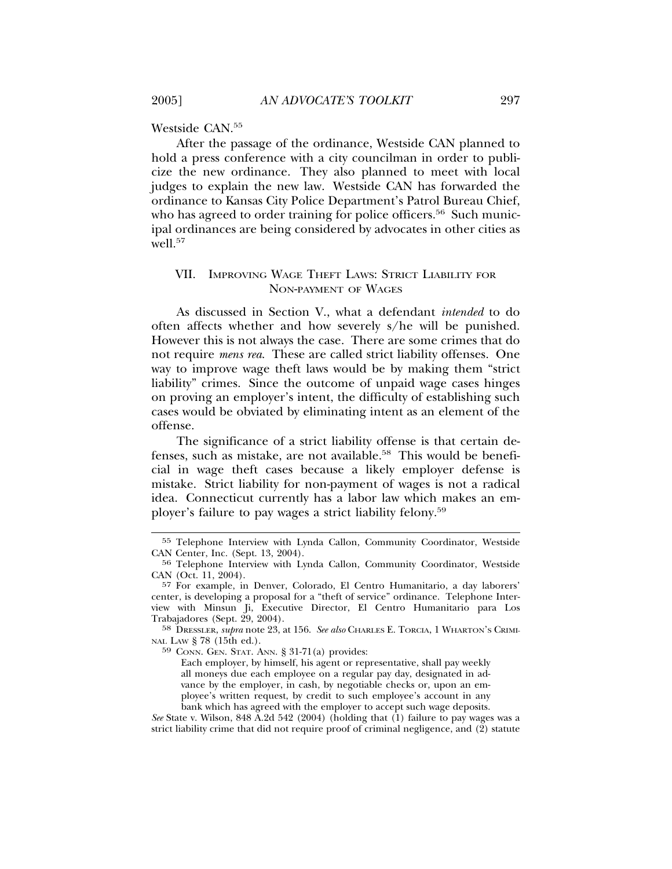Westside CAN.55

After the passage of the ordinance, Westside CAN planned to hold a press conference with a city councilman in order to publicize the new ordinance. They also planned to meet with local judges to explain the new law. Westside CAN has forwarded the ordinance to Kansas City Police Department's Patrol Bureau Chief, who has agreed to order training for police officers.<sup>56</sup> Such municipal ordinances are being considered by advocates in other cities as  $\text{well.}^{57}$ 

#### VII. IMPROVING WAGE THEFT LAWS: STRICT LIABILITY FOR NON-PAYMENT OF WAGES

As discussed in Section V., what a defendant *intended* to do often affects whether and how severely s/he will be punished. However this is not always the case. There are some crimes that do not require *mens rea*. These are called strict liability offenses. One way to improve wage theft laws would be by making them "strict liability" crimes. Since the outcome of unpaid wage cases hinges on proving an employer's intent, the difficulty of establishing such cases would be obviated by eliminating intent as an element of the offense.

The significance of a strict liability offense is that certain defenses, such as mistake, are not available.<sup>58</sup> This would be beneficial in wage theft cases because a likely employer defense is mistake. Strict liability for non-payment of wages is not a radical idea. Connecticut currently has a labor law which makes an employer's failure to pay wages a strict liability felony.59

*See* State v. Wilson, 848 A.2d 542 (2004) (holding that (1) failure to pay wages was a strict liability crime that did not require proof of criminal negligence, and  $(2)$  statute

<sup>55</sup> Telephone Interview with Lynda Callon, Community Coordinator, Westside CAN Center, Inc. (Sept. 13, 2004).

<sup>56</sup> Telephone Interview with Lynda Callon, Community Coordinator, Westside CAN (Oct. 11, 2004).

<sup>57</sup> For example, in Denver, Colorado, El Centro Humanitario, a day laborers' center, is developing a proposal for a "theft of service" ordinance. Telephone Interview with Minsun Ji, Executive Director, El Centro Humanitario para Los Trabajadores (Sept. 29, 2004).

<sup>58</sup> DRESSLER, *supra* note 23, at 156. *See also* CHARLES E. TORCIA, 1 WHARTON'S CRIMI-NAL LAW § 78 (15th ed.).

<sup>59</sup> CONN. GEN. STAT. ANN. § 31-71(a) provides:

Each employer, by himself, his agent or representative, shall pay weekly all moneys due each employee on a regular pay day, designated in advance by the employer, in cash, by negotiable checks or, upon an employee's written request, by credit to such employee's account in any bank which has agreed with the employer to accept such wage deposits.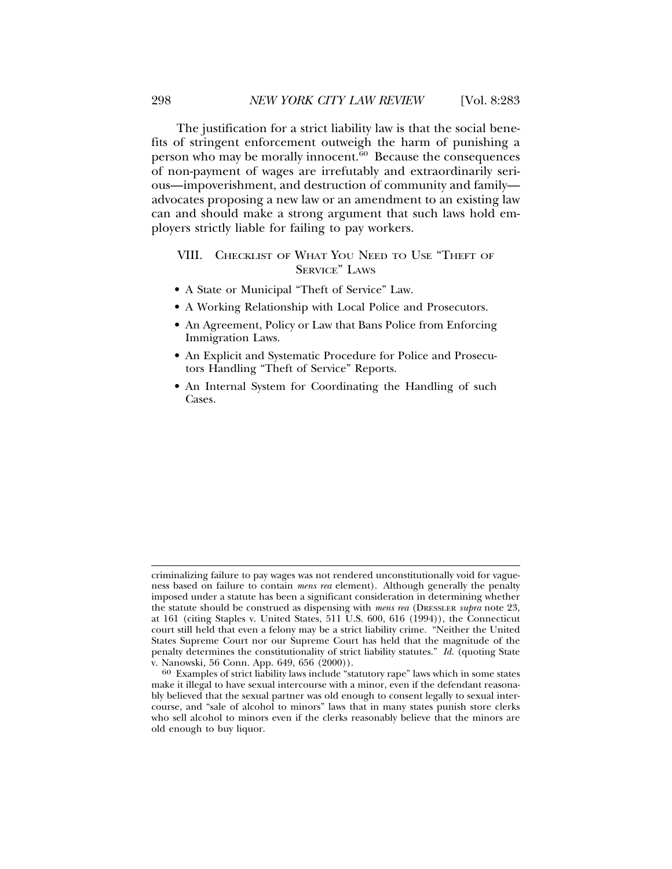The justification for a strict liability law is that the social benefits of stringent enforcement outweigh the harm of punishing a person who may be morally innocent.<sup>60</sup> Because the consequences of non-payment of wages are irrefutably and extraordinarily serious—impoverishment, and destruction of community and family advocates proposing a new law or an amendment to an existing law can and should make a strong argument that such laws hold employers strictly liable for failing to pay workers.

#### VIII. CHECKLIST OF WHAT YOU NEED TO USE "THEFT OF SERVICE" LAWS

- A State or Municipal "Theft of Service" Law.
- A Working Relationship with Local Police and Prosecutors.
- An Agreement, Policy or Law that Bans Police from Enforcing Immigration Laws.
- An Explicit and Systematic Procedure for Police and Prosecutors Handling "Theft of Service" Reports.
- An Internal System for Coordinating the Handling of such Cases.

criminalizing failure to pay wages was not rendered unconstitutionally void for vagueness based on failure to contain *mens rea* element). Although generally the penalty imposed under a statute has been a significant consideration in determining whether the statute should be construed as dispensing with *mens rea* (DRESSLER *supra* note 23, at 161 (citing Staples v. United States, 511 U.S. 600, 616 (1994)), the Connecticut court still held that even a felony may be a strict liability crime. "Neither the United States Supreme Court nor our Supreme Court has held that the magnitude of the penalty determines the constitutionality of strict liability statutes." *Id.* (quoting State v. Nanowski, 56 Conn. App. 649, 656 (2000)).

<sup>&</sup>lt;sup>60</sup> Examples of strict liability laws include "statutory rape" laws which in some states make it illegal to have sexual intercourse with a minor, even if the defendant reasonably believed that the sexual partner was old enough to consent legally to sexual intercourse, and "sale of alcohol to minors" laws that in many states punish store clerks who sell alcohol to minors even if the clerks reasonably believe that the minors are old enough to buy liquor.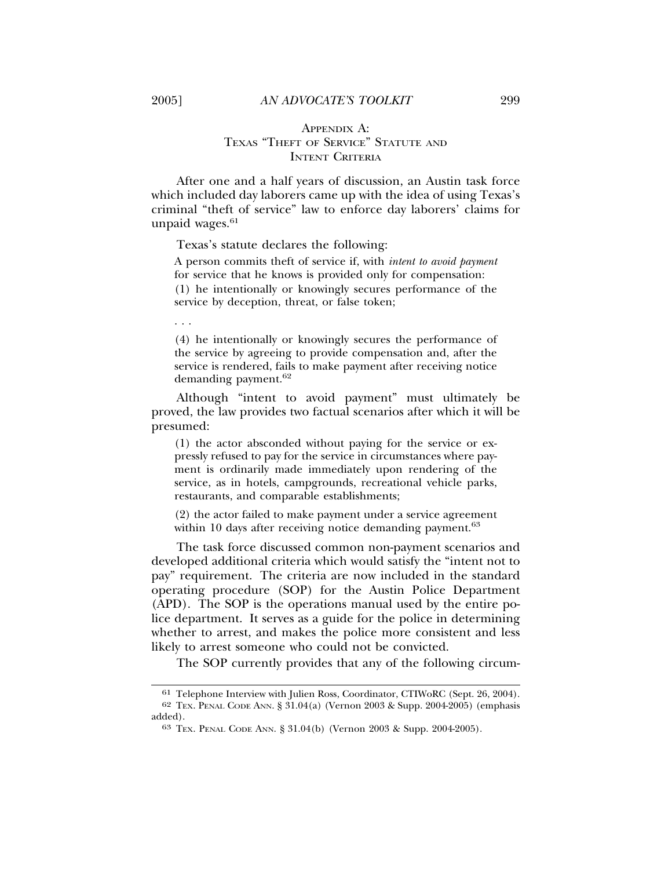#### APPENDIX A: TEXAS "THEFT OF SERVICE" STATUTE AND INTENT CRITERIA

After one and a half years of discussion, an Austin task force which included day laborers came up with the idea of using Texas's criminal "theft of service" law to enforce day laborers' claims for unpaid wages.<sup>61</sup>

Texas's statute declares the following:

A person commits theft of service if, with *intent to avoid payment* for service that he knows is provided only for compensation: (1) he intentionally or knowingly secures performance of the service by deception, threat, or false token;

(4) he intentionally or knowingly secures the performance of the service by agreeing to provide compensation and, after the service is rendered, fails to make payment after receiving notice demanding payment.<sup>62</sup>

Although "intent to avoid payment" must ultimately be proved, the law provides two factual scenarios after which it will be presumed:

(1) the actor absconded without paying for the service or expressly refused to pay for the service in circumstances where payment is ordinarily made immediately upon rendering of the service, as in hotels, campgrounds, recreational vehicle parks, restaurants, and comparable establishments;

(2) the actor failed to make payment under a service agreement within 10 days after receiving notice demanding payment.<sup>63</sup>

The task force discussed common non-payment scenarios and developed additional criteria which would satisfy the "intent not to pay" requirement. The criteria are now included in the standard operating procedure (SOP) for the Austin Police Department (APD). The SOP is the operations manual used by the entire police department. It serves as a guide for the police in determining whether to arrest, and makes the police more consistent and less likely to arrest someone who could not be convicted.

The SOP currently provides that any of the following circum-

. . .

<sup>61</sup> Telephone Interview with Julien Ross, Coordinator, CTIWoRC (Sept. 26, 2004). 62 TEX. PENAL CODE ANN. § 31.04(a) (Vernon 2003 & Supp. 2004-2005) (emphasis added).

<sup>63</sup> TEX. PENAL CODE ANN. § 31.04(b) (Vernon 2003 & Supp. 2004-2005).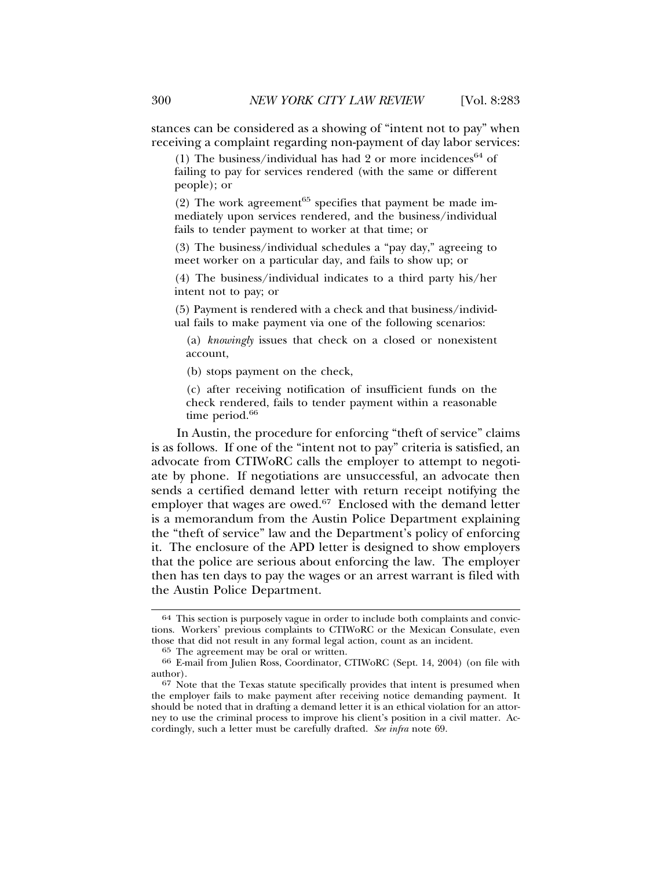stances can be considered as a showing of "intent not to pay" when receiving a complaint regarding non-payment of day labor services:

(1) The business/individual has had 2 or more incidences<sup>64</sup> of failing to pay for services rendered (with the same or different people); or

(2) The work agreement<sup> $65$ </sup> specifies that payment be made immediately upon services rendered, and the business/individual fails to tender payment to worker at that time; or

(3) The business/individual schedules a "pay day," agreeing to meet worker on a particular day, and fails to show up; or

(4) The business/individual indicates to a third party his/her intent not to pay; or

(5) Payment is rendered with a check and that business/individual fails to make payment via one of the following scenarios:

(a) *knowingly* issues that check on a closed or nonexistent account,

(b) stops payment on the check,

(c) after receiving notification of insufficient funds on the check rendered, fails to tender payment within a reasonable time period.<sup>66</sup>

In Austin, the procedure for enforcing "theft of service" claims is as follows. If one of the "intent not to pay" criteria is satisfied, an advocate from CTIWoRC calls the employer to attempt to negotiate by phone. If negotiations are unsuccessful, an advocate then sends a certified demand letter with return receipt notifying the employer that wages are owed.<sup>67</sup> Enclosed with the demand letter is a memorandum from the Austin Police Department explaining the "theft of service" law and the Department's policy of enforcing it. The enclosure of the APD letter is designed to show employers that the police are serious about enforcing the law. The employer then has ten days to pay the wages or an arrest warrant is filed with the Austin Police Department.

<sup>64</sup> This section is purposely vague in order to include both complaints and convictions. Workers' previous complaints to CTIWoRC or the Mexican Consulate, even those that did not result in any formal legal action, count as an incident.<br><sup>65</sup> The agreement may be oral or written.

<sup>66</sup> E-mail from Julien Ross, Coordinator, CTIWoRC (Sept. 14, 2004) (on file with author).

<sup>67</sup> Note that the Texas statute specifically provides that intent is presumed when the employer fails to make payment after receiving notice demanding payment. It should be noted that in drafting a demand letter it is an ethical violation for an attorney to use the criminal process to improve his client's position in a civil matter. Accordingly, such a letter must be carefully drafted. *See infra* note 69.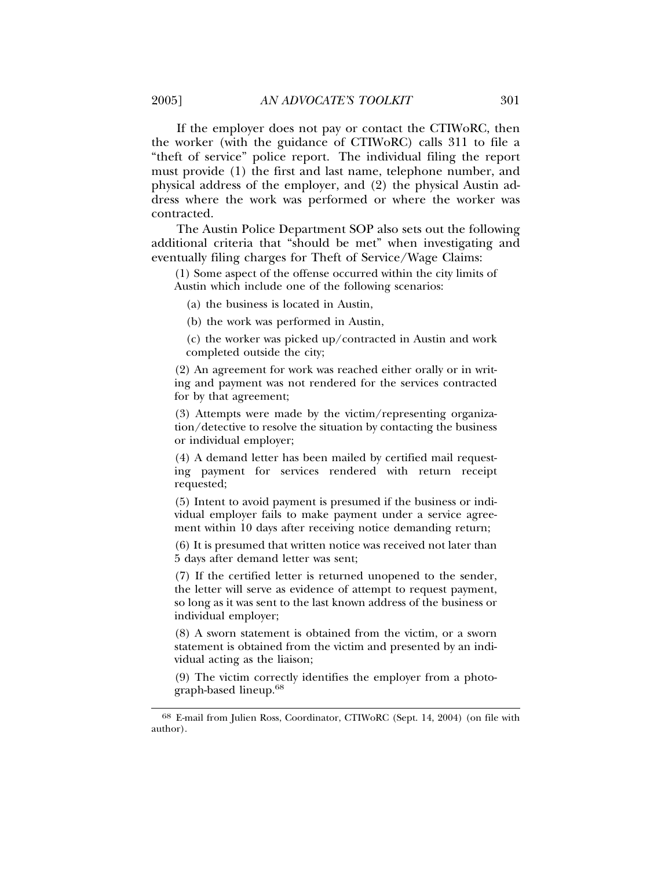If the employer does not pay or contact the CTIWoRC, then the worker (with the guidance of CTIWoRC) calls 311 to file a "theft of service" police report. The individual filing the report must provide (1) the first and last name, telephone number, and physical address of the employer, and (2) the physical Austin address where the work was performed or where the worker was contracted.

The Austin Police Department SOP also sets out the following additional criteria that "should be met" when investigating and eventually filing charges for Theft of Service/Wage Claims:

(1) Some aspect of the offense occurred within the city limits of Austin which include one of the following scenarios:

(a) the business is located in Austin,

(b) the work was performed in Austin,

(c) the worker was picked up/contracted in Austin and work completed outside the city;

(2) An agreement for work was reached either orally or in writing and payment was not rendered for the services contracted for by that agreement;

(3) Attempts were made by the victim/representing organization/detective to resolve the situation by contacting the business or individual employer;

(4) A demand letter has been mailed by certified mail requesting payment for services rendered with return receipt requested;

(5) Intent to avoid payment is presumed if the business or individual employer fails to make payment under a service agreement within 10 days after receiving notice demanding return;

(6) It is presumed that written notice was received not later than 5 days after demand letter was sent;

(7) If the certified letter is returned unopened to the sender, the letter will serve as evidence of attempt to request payment, so long as it was sent to the last known address of the business or individual employer;

(8) A sworn statement is obtained from the victim, or a sworn statement is obtained from the victim and presented by an individual acting as the liaison;

(9) The victim correctly identifies the employer from a photograph-based lineup.<sup>68</sup>

<sup>68</sup> E-mail from Julien Ross, Coordinator, CTIWoRC (Sept. 14, 2004) (on file with author).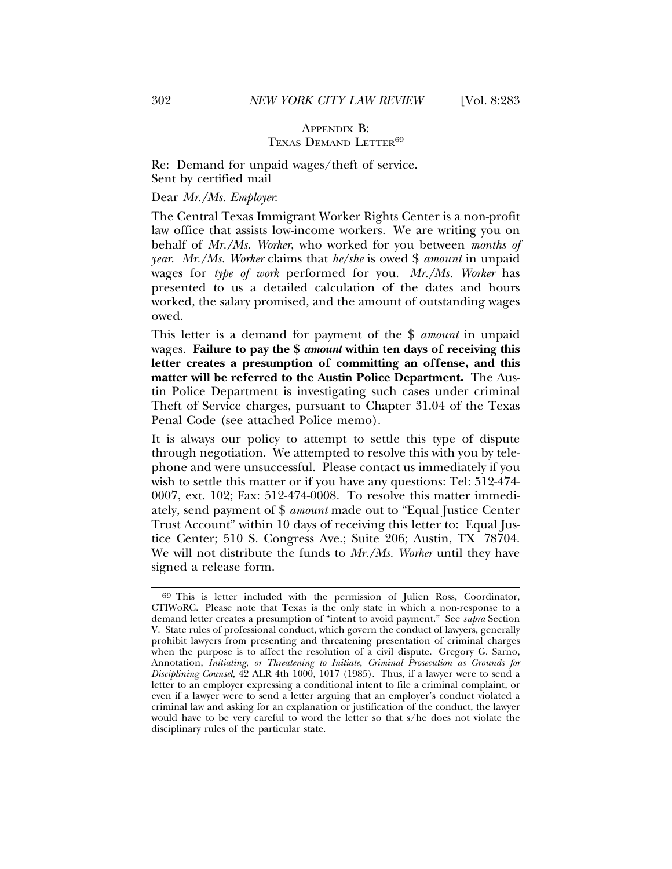#### APPENDIX B: TEXAS DEMAND LETTER<sup>69</sup>

Re: Demand for unpaid wages/theft of service. Sent by certified mail

#### Dear *Mr./Ms. Employer*:

The Central Texas Immigrant Worker Rights Center is a non-profit law office that assists low-income workers. We are writing you on behalf of *Mr./Ms. Worker*, who worked for you between *months of year*. *Mr./Ms. Worker* claims that *he/she* is owed \$ *amount* in unpaid wages for *type of work* performed for you. *Mr./Ms. Worker* has presented to us a detailed calculation of the dates and hours worked, the salary promised, and the amount of outstanding wages owed.

This letter is a demand for payment of the \$ *amount* in unpaid wages. **Failure to pay the \$** *amount* **within ten days of receiving this letter creates a presumption of committing an offense, and this matter will be referred to the Austin Police Department.** The Austin Police Department is investigating such cases under criminal Theft of Service charges, pursuant to Chapter 31.04 of the Texas Penal Code (see attached Police memo).

It is always our policy to attempt to settle this type of dispute through negotiation. We attempted to resolve this with you by telephone and were unsuccessful. Please contact us immediately if you wish to settle this matter or if you have any questions: Tel: 512-474- 0007, ext. 102; Fax: 512-474-0008. To resolve this matter immediately, send payment of \$ *amount* made out to "Equal Justice Center Trust Account" within 10 days of receiving this letter to: Equal Justice Center; 510 S. Congress Ave.; Suite 206; Austin, TX 78704. We will not distribute the funds to *Mr./Ms. Worker* until they have signed a release form.

<sup>69</sup> This is letter included with the permission of Julien Ross, Coordinator, CTIWoRC. Please note that Texas is the only state in which a non-response to a demand letter creates a presumption of "intent to avoid payment." See *supra* Section V. State rules of professional conduct, which govern the conduct of lawyers, generally prohibit lawyers from presenting and threatening presentation of criminal charges when the purpose is to affect the resolution of a civil dispute. Gregory G. Sarno, Annotation, *Initiating, or Threatening to Initiate, Criminal Prosecution as Grounds for Disciplining Counsel*, 42 ALR 4th 1000, 1017 (1985). Thus, if a lawyer were to send a letter to an employer expressing a conditional intent to file a criminal complaint, or even if a lawyer were to send a letter arguing that an employer's conduct violated a criminal law and asking for an explanation or justification of the conduct, the lawyer would have to be very careful to word the letter so that s/he does not violate the disciplinary rules of the particular state.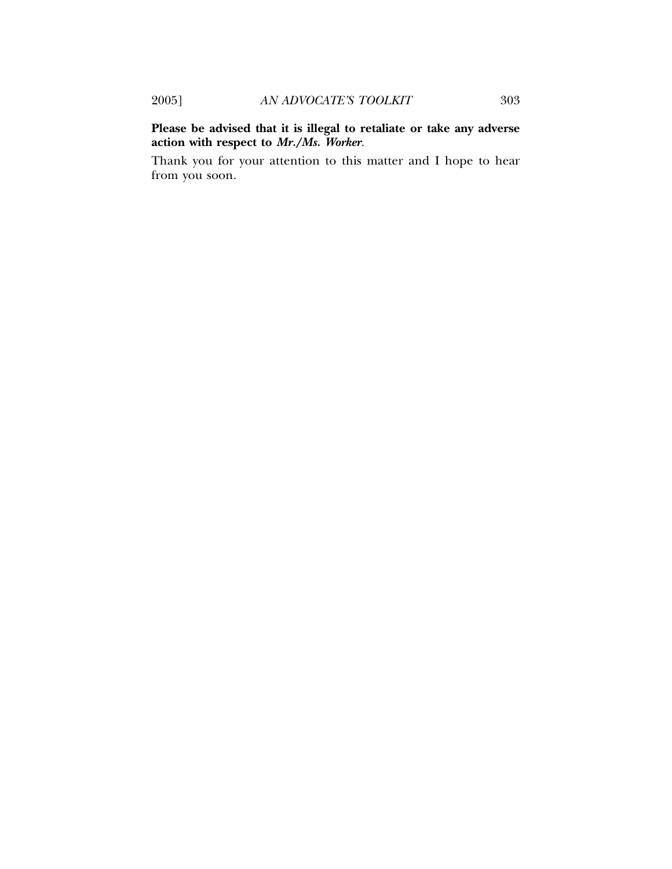**Please be advised that it is illegal to retaliate or take any adverse action with respect to** *Mr./Ms. Worker*.

Thank you for your attention to this matter and I hope to hear from you soon.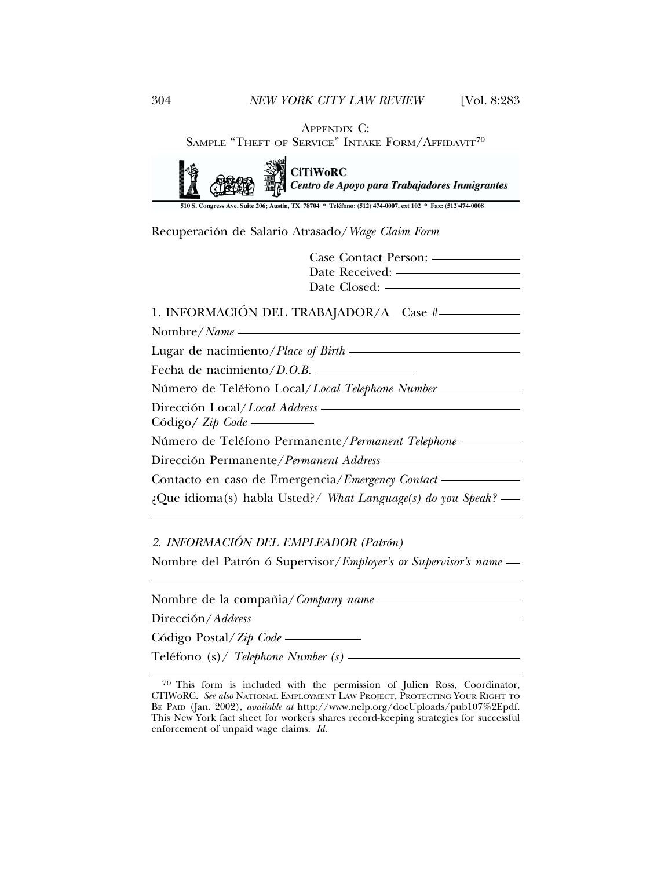APPENDIX C:

SAMPLE "THEFT OF SERVICE" INTAKE FORM/AFFIDAVIT<sup>70</sup>

| <b>CiTiWoRC</b><br><b>de</b> Centro de Apoyo para Trabajadores Inmigrantes                                                                                                                                                                          |
|-----------------------------------------------------------------------------------------------------------------------------------------------------------------------------------------------------------------------------------------------------|
| 510 S. Congress Ave, Suite 206; Austin, TX 78704 * Teléfono: (512) 474-0007, ext 102 * Fax: (512)474-0008                                                                                                                                           |
| Recuperación de Salario Atrasado/Wage Claim Form                                                                                                                                                                                                    |
| Case Contact Person: ——————                                                                                                                                                                                                                         |
| Date Received: ——————————                                                                                                                                                                                                                           |
|                                                                                                                                                                                                                                                     |
| 1. INFORMACIÓN DEL TRABAJADOR/A Case #-                                                                                                                                                                                                             |
| Nombre/Name ————————————————————                                                                                                                                                                                                                    |
| Lugar de nacimiento/ <i>Place of Birth</i> ————————————————————                                                                                                                                                                                     |
| Fecha de nacimiento/D.O.B.                                                                                                                                                                                                                          |
| Número de Teléfono Local/Local Telephone Number                                                                                                                                                                                                     |
| Dirección Local/Local Address - The Contract of the Contract of the Contract of the Contract of the Contract of the Contract of the Contract of the Contract of the Contract of the Contract of the Contract of the Contract o<br>Código / Zip Code |
| Número de Teléfono Permanente/Permanent Telephone —                                                                                                                                                                                                 |
| Dirección Permanente/Permanent Address - The Contract of the Permanent Address - The Contract of the Direct of the Contract of the Direct of the Direct of the Direct of the Direct of the Direct of the Direct of the Direct                       |
|                                                                                                                                                                                                                                                     |
| ;Que idioma(s) habla Usted?/ What Language(s) do you Speak? —                                                                                                                                                                                       |
|                                                                                                                                                                                                                                                     |

2. INFORMACIÓN DEL EMPLEADOR (Patrón)

Nombre del Patrón ó Supervisor/*Employer's or Supervisor's name* -

Nombre de la compania/ ˜ *Company name*

Dirección/Address —

Código Postal/Zip Code -

Teléfono (s) / *Telephone Number (s)* —

<sup>70</sup> This form is included with the permission of Julien Ross, Coordinator, CTIWoRC. *See also* NATIONAL EMPLOYMENT LAW PROJECT, PROTECTING YOUR RIGHT TO BE PAID (Jan. 2002), *available at* http://www.nelp.org/docUploads/pub107%2Epdf. This New York fact sheet for workers shares record-keeping strategies for successful enforcement of unpaid wage claims. *Id.*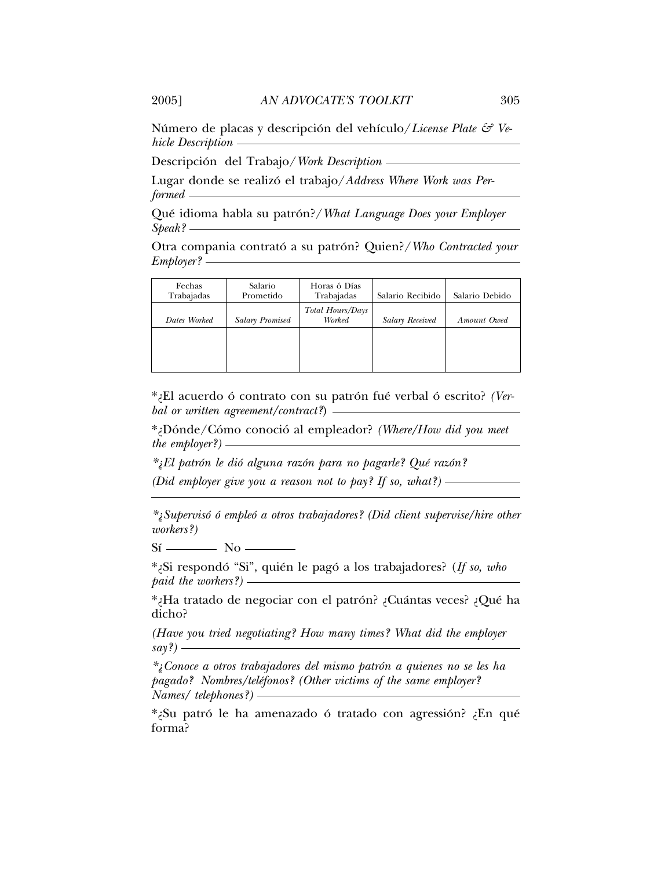Número de placas y descripción del vehículo/*License Plate & Vehicle Description*

Descripción del Trabajo/ *Work Description* —

Lugar donde se realizó el trabajo/Address Where Work was Per*formed*

Qué idioma habla su patrón?/ *What Language Does your Employer Speak?*

Otra compania contrató a su patrón? Quien?/ *Who Contracted your Employer?*

| Fechas<br>Trabajadas | Salario<br>Prometido   | Horas ó Días<br>Trabajadas | Salario Recibido       | Salario Debido |  |
|----------------------|------------------------|----------------------------|------------------------|----------------|--|
| Dates Worked         | <b>Salary Promised</b> | Total Hours/Days<br>Worked | <b>Salary Received</b> | Amount Owed    |  |
|                      |                        |                            |                        |                |  |
|                      |                        |                            |                        |                |  |

\*¿El acuerdo ó contrato con su patrón fué verbal ó escrito? (Ver*bal or written agreement/contract?*)

\*¿Donde/C ´ omo conoci ´ o al empleador? ´ *(Where/How did you meet the employer?)*

*\**<sub>*i*</sub>El patrón le dió alguna razón para no pagarle? Qué razón? *(Did employer give you a reason not to pay? If so, what?)*

*\*¿Superviso ´ o emple ´ o a otros trabajadores? (Did client supervise/hire other ´ workers?)*

 $Si$   $\longrightarrow$  No  $\sim$ 

\*¿Si respondó "Si", quién le pagó a los trabajadores? (If so, who *paid the workers?)*

\*¿Ha tratado de negociar con el patron? ¿Cu ´ antas veces? ¿Qu ´ e ha ´ dicho?

*(Have you tried negotiating? How many times? What did the employer say?)* 

*\*¿Conoce a otros trabajadores del mismo patron a quienes no se les ha ´ pagado? Nombres/telefonos? (Other victims of the same employer? ´ Names/ telephones?)*

\*¿Su patró le ha amenazado ó tratado con agressión? ¿En qué forma?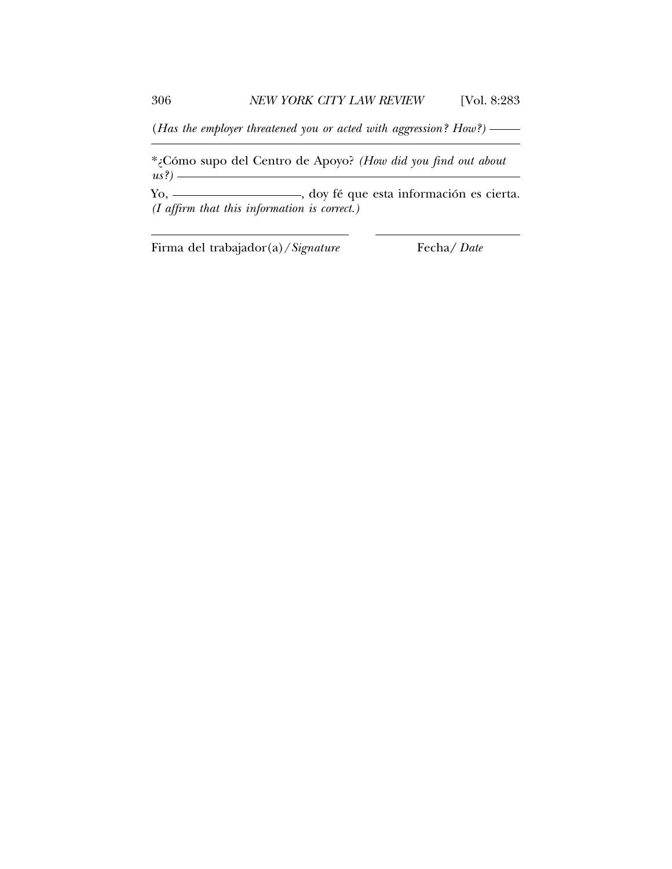(*Has the employer threatened you or acted with aggression? How?)*

\*¿Como supo del Centro de Apoyo? ´ *(How did you find out about us?)*

Yo, \_\_\_\_\_\_\_\_\_\_\_\_\_\_\_\_, doy fé que esta información es cierta. *(I affirm that this information is correct.)*

Firma del trabajador(a)/*Signature* Fecha*/ Date*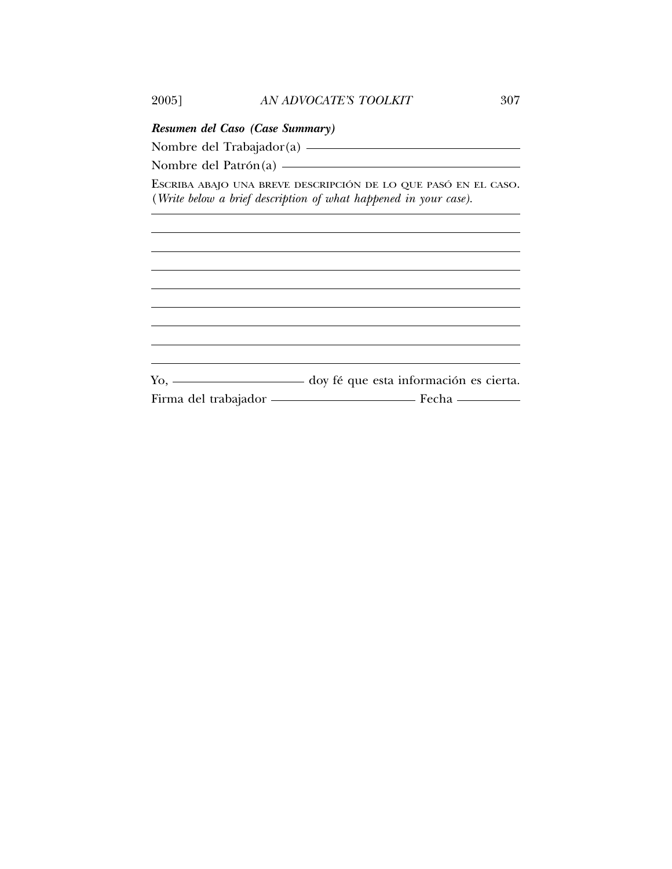| Resumen del Caso (Case Summary)                                                                                                                                                                                                                                                                                                                                                                                |
|----------------------------------------------------------------------------------------------------------------------------------------------------------------------------------------------------------------------------------------------------------------------------------------------------------------------------------------------------------------------------------------------------------------|
| Nombre del Trabajador(a) ————————————————————                                                                                                                                                                                                                                                                                                                                                                  |
| Nombre del Patrón(a) $\frac{1}{\sqrt{1-\frac{1}{\sqrt{1-\frac{1}{\sqrt{1-\frac{1}{\sqrt{1-\frac{1}{\sqrt{1-\frac{1}{\sqrt{1-\frac{1}{\sqrt{1-\frac{1}{\sqrt{1-\frac{1}{\sqrt{1-\frac{1}{\sqrt{1-\frac{1}{\sqrt{1-\frac{1}{\sqrt{1-\frac{1}{\sqrt{1-\frac{1}{\sqrt{1-\frac{1}{\sqrt{1-\frac{1}{\sqrt{1-\frac{1}{\sqrt{1-\frac{1}{\sqrt{1-\frac{1}{\sqrt{1-\frac{1}{\sqrt{1-\frac{1}{\sqrt{1-\frac{1}{\sqrt{1-\$ |
| ESCRIBA ABAJO UNA BREVE DESCRIPCIÓN DE LO QUE PASÓ EN EL CASO.<br>(Write below a brief description of what happened in your case).                                                                                                                                                                                                                                                                             |
|                                                                                                                                                                                                                                                                                                                                                                                                                |
|                                                                                                                                                                                                                                                                                                                                                                                                                |
|                                                                                                                                                                                                                                                                                                                                                                                                                |
|                                                                                                                                                                                                                                                                                                                                                                                                                |
|                                                                                                                                                                                                                                                                                                                                                                                                                |
|                                                                                                                                                                                                                                                                                                                                                                                                                |
| Yo, ____________________ doy fé que esta información es cierta.                                                                                                                                                                                                                                                                                                                                                |
| Firma del trabajador - Fecha - Fecha                                                                                                                                                                                                                                                                                                                                                                           |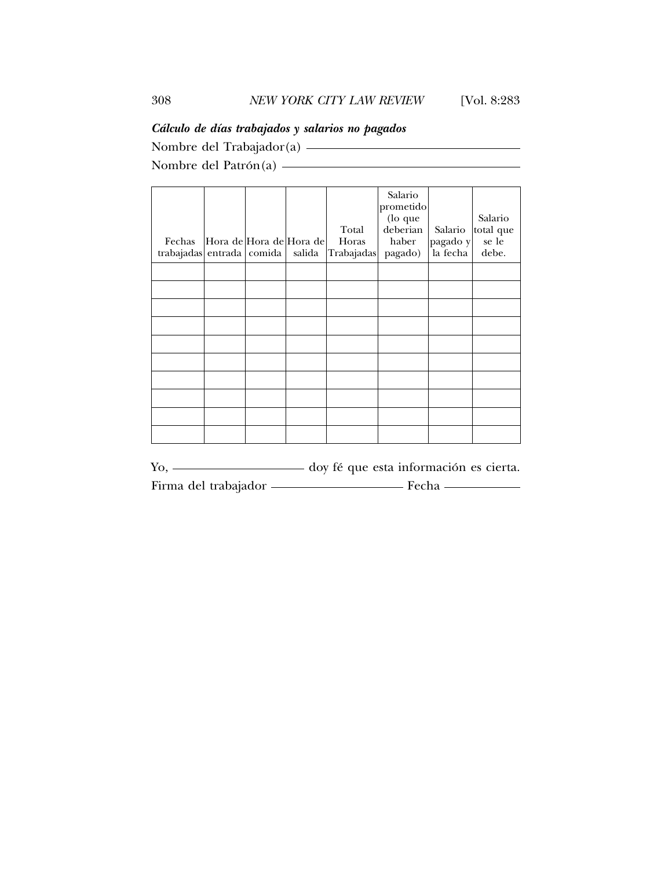### *C´alculo de d´ıas trabajados y salarios no pagados*

Nombre del Trabajador(a) Nombre del Patron(a) ´

| Fechas<br>trabajadas entrada comida | Hora de Hora de Hora de | salida | Total<br>Horas<br>Trabajadas | Salario<br>prometido<br>(lo que<br>deberian<br>haber<br>pagado) | Salario<br>pagado y<br>la fecha | Salario<br>total que<br>se le<br>debe. |
|-------------------------------------|-------------------------|--------|------------------------------|-----------------------------------------------------------------|---------------------------------|----------------------------------------|
|                                     |                         |        |                              |                                                                 |                                 |                                        |
|                                     |                         |        |                              |                                                                 |                                 |                                        |
|                                     |                         |        |                              |                                                                 |                                 |                                        |
|                                     |                         |        |                              |                                                                 |                                 |                                        |
|                                     |                         |        |                              |                                                                 |                                 |                                        |
|                                     |                         |        |                              |                                                                 |                                 |                                        |
|                                     |                         |        |                              |                                                                 |                                 |                                        |
|                                     |                         |        |                              |                                                                 |                                 |                                        |
|                                     |                         |        |                              |                                                                 |                                 |                                        |
|                                     |                         |        |                              |                                                                 |                                 |                                        |
|                                     |                         |        |                              |                                                                 |                                 |                                        |

Yo, \_\_\_\_\_\_\_\_\_\_\_\_\_\_\_\_\_ doy fé que esta información es cierta. Firma del trabajador **Fecha** Fecha **Fecha**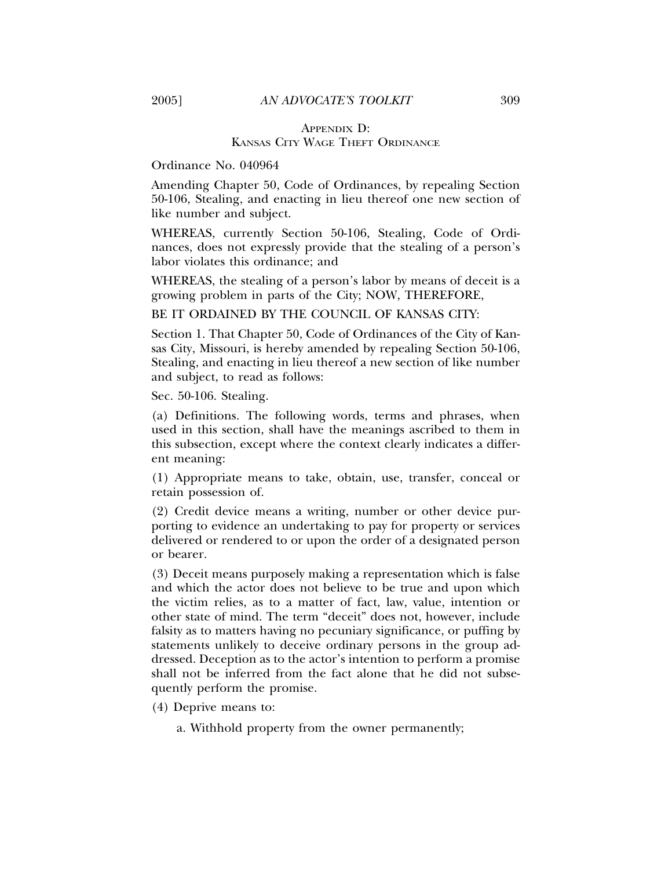#### APPENDIX D: KANSAS CITY WAGE THEFT ORDINANCE

#### Ordinance No. 040964

Amending Chapter 50, Code of Ordinances, by repealing Section 50-106, Stealing, and enacting in lieu thereof one new section of like number and subject.

WHEREAS, currently Section 50-106, Stealing, Code of Ordinances, does not expressly provide that the stealing of a person's labor violates this ordinance; and

WHEREAS, the stealing of a person's labor by means of deceit is a growing problem in parts of the City; NOW, THEREFORE,

BE IT ORDAINED BY THE COUNCIL OF KANSAS CITY:

Section 1. That Chapter 50, Code of Ordinances of the City of Kansas City, Missouri, is hereby amended by repealing Section 50-106, Stealing, and enacting in lieu thereof a new section of like number and subject, to read as follows:

Sec. 50-106. Stealing.

(a) Definitions. The following words, terms and phrases, when used in this section, shall have the meanings ascribed to them in this subsection, except where the context clearly indicates a different meaning:

(1) Appropriate means to take, obtain, use, transfer, conceal or retain possession of.

(2) Credit device means a writing, number or other device purporting to evidence an undertaking to pay for property or services delivered or rendered to or upon the order of a designated person or bearer.

(3) Deceit means purposely making a representation which is false and which the actor does not believe to be true and upon which the victim relies, as to a matter of fact, law, value, intention or other state of mind. The term "deceit" does not, however, include falsity as to matters having no pecuniary significance, or puffing by statements unlikely to deceive ordinary persons in the group addressed. Deception as to the actor's intention to perform a promise shall not be inferred from the fact alone that he did not subsequently perform the promise.

(4) Deprive means to:

a. Withhold property from the owner permanently;